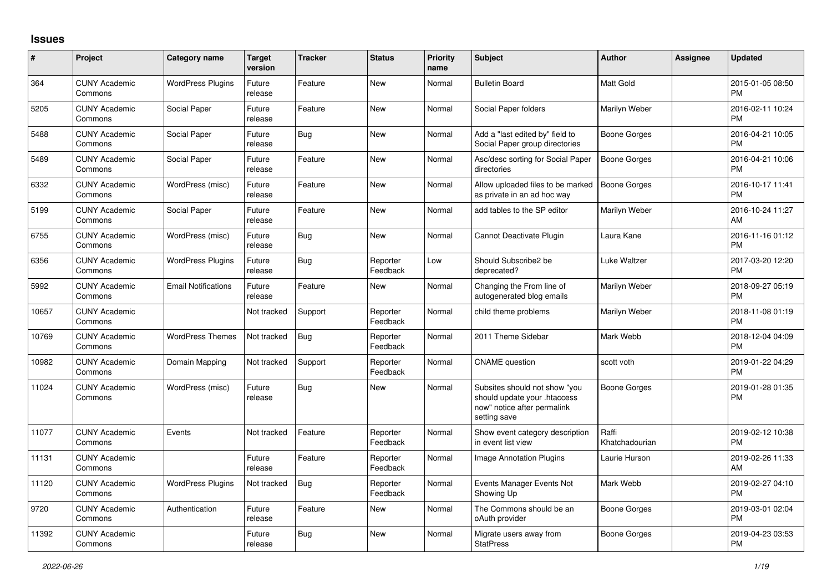## **Issues**

| #     | Project                         | <b>Category name</b>       | <b>Target</b><br>version | <b>Tracker</b> | <b>Status</b>        | <b>Priority</b><br>name | <b>Subject</b>                                                                                               | <b>Author</b>           | <b>Assignee</b> | <b>Updated</b>                |
|-------|---------------------------------|----------------------------|--------------------------|----------------|----------------------|-------------------------|--------------------------------------------------------------------------------------------------------------|-------------------------|-----------------|-------------------------------|
| 364   | <b>CUNY Academic</b><br>Commons | <b>WordPress Plugins</b>   | Future<br>release        | Feature        | <b>New</b>           | Normal                  | <b>Bulletin Board</b>                                                                                        | <b>Matt Gold</b>        |                 | 2015-01-05 08:50<br><b>PM</b> |
| 5205  | <b>CUNY Academic</b><br>Commons | Social Paper               | Future<br>release        | Feature        | <b>New</b>           | Normal                  | Social Paper folders                                                                                         | Marilyn Weber           |                 | 2016-02-11 10:24<br><b>PM</b> |
| 5488  | <b>CUNY Academic</b><br>Commons | Social Paper               | Future<br>release        | Bug            | <b>New</b>           | Normal                  | Add a "last edited by" field to<br>Social Paper group directories                                            | Boone Gorges            |                 | 2016-04-21 10:05<br><b>PM</b> |
| 5489  | <b>CUNY Academic</b><br>Commons | Social Paper               | Future<br>release        | Feature        | <b>New</b>           | Normal                  | Asc/desc sorting for Social Paper<br>directories                                                             | <b>Boone Gorges</b>     |                 | 2016-04-21 10:06<br><b>PM</b> |
| 6332  | <b>CUNY Academic</b><br>Commons | WordPress (misc)           | Future<br>release        | Feature        | <b>New</b>           | Normal                  | Allow uploaded files to be marked<br>as private in an ad hoc way                                             | <b>Boone Gorges</b>     |                 | 2016-10-17 11:41<br><b>PM</b> |
| 5199  | <b>CUNY Academic</b><br>Commons | Social Paper               | Future<br>release        | Feature        | <b>New</b>           | Normal                  | add tables to the SP editor                                                                                  | Marilyn Weber           |                 | 2016-10-24 11:27<br>AM        |
| 6755  | <b>CUNY Academic</b><br>Commons | WordPress (misc)           | Future<br>release        | Bug            | New                  | Normal                  | Cannot Deactivate Plugin                                                                                     | Laura Kane              |                 | 2016-11-16 01:12<br><b>PM</b> |
| 6356  | <b>CUNY Academic</b><br>Commons | <b>WordPress Plugins</b>   | Future<br>release        | Bug            | Reporter<br>Feedback | Low                     | Should Subscribe2 be<br>deprecated?                                                                          | Luke Waltzer            |                 | 2017-03-20 12:20<br><b>PM</b> |
| 5992  | <b>CUNY Academic</b><br>Commons | <b>Email Notifications</b> | Future<br>release        | Feature        | <b>New</b>           | Normal                  | Changing the From line of<br>autogenerated blog emails                                                       | Marilyn Weber           |                 | 2018-09-27 05:19<br><b>PM</b> |
| 10657 | <b>CUNY Academic</b><br>Commons |                            | Not tracked              | Support        | Reporter<br>Feedback | Normal                  | child theme problems                                                                                         | Marilyn Weber           |                 | 2018-11-08 01:19<br><b>PM</b> |
| 10769 | <b>CUNY Academic</b><br>Commons | <b>WordPress Themes</b>    | Not tracked              | <b>Bug</b>     | Reporter<br>Feedback | Normal                  | 2011 Theme Sidebar                                                                                           | Mark Webb               |                 | 2018-12-04 04:09<br><b>PM</b> |
| 10982 | <b>CUNY Academic</b><br>Commons | Domain Mapping             | Not tracked              | Support        | Reporter<br>Feedback | Normal                  | <b>CNAME</b> question                                                                                        | scott voth              |                 | 2019-01-22 04:29<br><b>PM</b> |
| 11024 | <b>CUNY Academic</b><br>Commons | WordPress (misc)           | Future<br>release        | <b>Bug</b>     | New                  | Normal                  | Subsites should not show "you<br>should update your .htaccess<br>now" notice after permalink<br>setting save | Boone Gorges            |                 | 2019-01-28 01:35<br><b>PM</b> |
| 11077 | <b>CUNY Academic</b><br>Commons | Events                     | Not tracked              | Feature        | Reporter<br>Feedback | Normal                  | Show event category description<br>in event list view                                                        | Raffi<br>Khatchadourian |                 | 2019-02-12 10:38<br><b>PM</b> |
| 11131 | <b>CUNY Academic</b><br>Commons |                            | Future<br>release        | Feature        | Reporter<br>Feedback | Normal                  | Image Annotation Plugins                                                                                     | Laurie Hurson           |                 | 2019-02-26 11:33<br>AM        |
| 11120 | <b>CUNY Academic</b><br>Commons | <b>WordPress Plugins</b>   | Not tracked              | Bug            | Reporter<br>Feedback | Normal                  | Events Manager Events Not<br>Showing Up                                                                      | Mark Webb               |                 | 2019-02-27 04:10<br><b>PM</b> |
| 9720  | <b>CUNY Academic</b><br>Commons | Authentication             | Future<br>release        | Feature        | <b>New</b>           | Normal                  | The Commons should be an<br>oAuth provider                                                                   | Boone Gorges            |                 | 2019-03-01 02:04<br><b>PM</b> |
| 11392 | <b>CUNY Academic</b><br>Commons |                            | Future<br>release        | <b>Bug</b>     | <b>New</b>           | Normal                  | Migrate users away from<br><b>StatPress</b>                                                                  | Boone Gorges            |                 | 2019-04-23 03:53<br><b>PM</b> |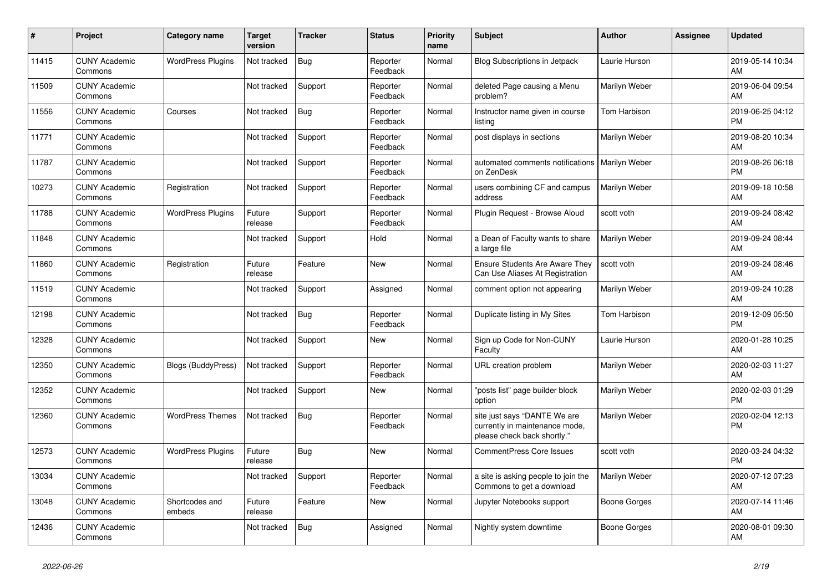| #     | <b>Project</b>                  | Category name             | <b>Target</b><br>version | <b>Tracker</b> | <b>Status</b>        | <b>Priority</b><br>name | <b>Subject</b>                                                                                | <b>Author</b>       | Assignee | <b>Updated</b>                |
|-------|---------------------------------|---------------------------|--------------------------|----------------|----------------------|-------------------------|-----------------------------------------------------------------------------------------------|---------------------|----------|-------------------------------|
| 11415 | <b>CUNY Academic</b><br>Commons | <b>WordPress Plugins</b>  | Not tracked              | <b>Bug</b>     | Reporter<br>Feedback | Normal                  | <b>Blog Subscriptions in Jetpack</b>                                                          | Laurie Hurson       |          | 2019-05-14 10:34<br>AM        |
| 11509 | <b>CUNY Academic</b><br>Commons |                           | Not tracked              | Support        | Reporter<br>Feedback | Normal                  | deleted Page causing a Menu<br>problem?                                                       | Marilyn Weber       |          | 2019-06-04 09:54<br>AM        |
| 11556 | <b>CUNY Academic</b><br>Commons | Courses                   | Not tracked              | <b>Bug</b>     | Reporter<br>Feedback | Normal                  | Instructor name given in course<br>listing                                                    | Tom Harbison        |          | 2019-06-25 04:12<br><b>PM</b> |
| 11771 | <b>CUNY Academic</b><br>Commons |                           | Not tracked              | Support        | Reporter<br>Feedback | Normal                  | post displays in sections                                                                     | Marilyn Weber       |          | 2019-08-20 10:34<br>AM        |
| 11787 | <b>CUNY Academic</b><br>Commons |                           | Not tracked              | Support        | Reporter<br>Feedback | Normal                  | automated comments notifications   Marilyn Weber<br>on ZenDesk                                |                     |          | 2019-08-26 06:18<br><b>PM</b> |
| 10273 | <b>CUNY Academic</b><br>Commons | Registration              | Not tracked              | Support        | Reporter<br>Feedback | Normal                  | users combining CF and campus<br>address                                                      | Marilyn Weber       |          | 2019-09-18 10:58<br>AM        |
| 11788 | <b>CUNY Academic</b><br>Commons | <b>WordPress Plugins</b>  | Future<br>release        | Support        | Reporter<br>Feedback | Normal                  | Plugin Reguest - Browse Aloud                                                                 | scott voth          |          | 2019-09-24 08:42<br>AM        |
| 11848 | <b>CUNY Academic</b><br>Commons |                           | Not tracked              | Support        | Hold                 | Normal                  | a Dean of Faculty wants to share<br>a large file                                              | Marilyn Weber       |          | 2019-09-24 08:44<br>AM        |
| 11860 | <b>CUNY Academic</b><br>Commons | Registration              | Future<br>release        | Feature        | <b>New</b>           | Normal                  | Ensure Students Are Aware They<br>Can Use Aliases At Registration                             | scott voth          |          | 2019-09-24 08:46<br>AM        |
| 11519 | <b>CUNY Academic</b><br>Commons |                           | Not tracked              | Support        | Assigned             | Normal                  | comment option not appearing                                                                  | Marilyn Weber       |          | 2019-09-24 10:28<br>AM        |
| 12198 | <b>CUNY Academic</b><br>Commons |                           | Not tracked              | Bug            | Reporter<br>Feedback | Normal                  | Duplicate listing in My Sites                                                                 | Tom Harbison        |          | 2019-12-09 05:50<br><b>PM</b> |
| 12328 | <b>CUNY Academic</b><br>Commons |                           | Not tracked              | Support        | <b>New</b>           | Normal                  | Sign up Code for Non-CUNY<br>Faculty                                                          | Laurie Hurson       |          | 2020-01-28 10:25<br>AM        |
| 12350 | <b>CUNY Academic</b><br>Commons | <b>Blogs (BuddyPress)</b> | Not tracked              | Support        | Reporter<br>Feedback | Normal                  | URL creation problem                                                                          | Marilyn Weber       |          | 2020-02-03 11:27<br>AM        |
| 12352 | <b>CUNY Academic</b><br>Commons |                           | Not tracked              | Support        | <b>New</b>           | Normal                  | "posts list" page builder block<br>option                                                     | Marilyn Weber       |          | 2020-02-03 01:29<br><b>PM</b> |
| 12360 | <b>CUNY Academic</b><br>Commons | <b>WordPress Themes</b>   | Not tracked              | Bug            | Reporter<br>Feedback | Normal                  | site just says "DANTE We are<br>currently in maintenance mode,<br>please check back shortly." | Marilyn Weber       |          | 2020-02-04 12:13<br><b>PM</b> |
| 12573 | <b>CUNY Academic</b><br>Commons | <b>WordPress Plugins</b>  | Future<br>release        | <b>Bug</b>     | <b>New</b>           | Normal                  | <b>CommentPress Core Issues</b>                                                               | scott voth          |          | 2020-03-24 04:32<br><b>PM</b> |
| 13034 | <b>CUNY Academic</b><br>Commons |                           | Not tracked              | Support        | Reporter<br>Feedback | Normal                  | a site is asking people to join the<br>Commons to get a download                              | Marilyn Weber       |          | 2020-07-12 07:23<br>AM        |
| 13048 | <b>CUNY Academic</b><br>Commons | Shortcodes and<br>embeds  | Future<br>release        | Feature        | <b>New</b>           | Normal                  | Jupyter Notebooks support                                                                     | Boone Gorges        |          | 2020-07-14 11:46<br>AM        |
| 12436 | <b>CUNY Academic</b><br>Commons |                           | Not tracked              | <b>Bug</b>     | Assigned             | Normal                  | Nightly system downtime                                                                       | <b>Boone Gorges</b> |          | 2020-08-01 09:30<br>AM        |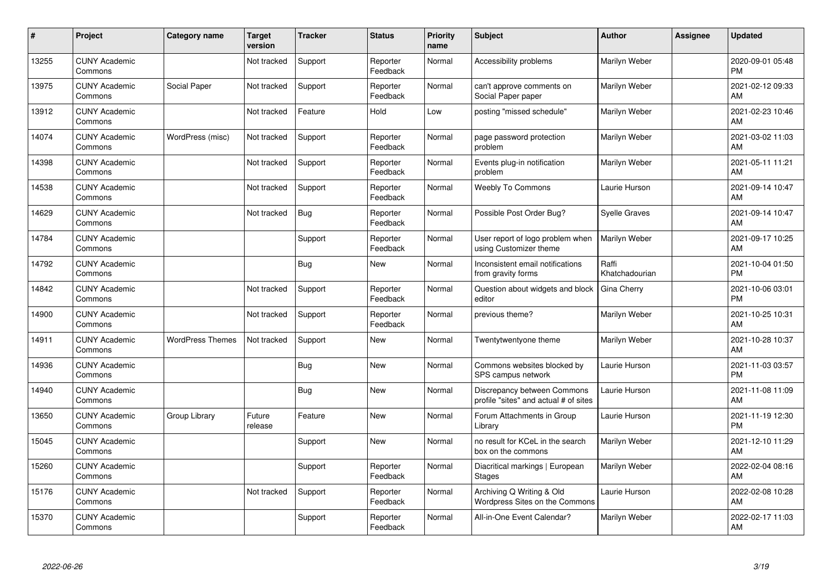| #     | Project                         | <b>Category name</b>    | <b>Target</b><br>version | <b>Tracker</b> | <b>Status</b>        | <b>Priority</b><br>name | <b>Subject</b>                                                       | Author                  | <b>Assignee</b> | <b>Updated</b>                |
|-------|---------------------------------|-------------------------|--------------------------|----------------|----------------------|-------------------------|----------------------------------------------------------------------|-------------------------|-----------------|-------------------------------|
| 13255 | <b>CUNY Academic</b><br>Commons |                         | Not tracked              | Support        | Reporter<br>Feedback | Normal                  | Accessibility problems                                               | Marilyn Weber           |                 | 2020-09-01 05:48<br><b>PM</b> |
| 13975 | <b>CUNY Academic</b><br>Commons | Social Paper            | Not tracked              | Support        | Reporter<br>Feedback | Normal                  | can't approve comments on<br>Social Paper paper                      | Marilyn Weber           |                 | 2021-02-12 09:33<br>AM        |
| 13912 | <b>CUNY Academic</b><br>Commons |                         | Not tracked              | Feature        | Hold                 | Low                     | posting "missed schedule"                                            | Marilyn Weber           |                 | 2021-02-23 10:46<br>AM        |
| 14074 | <b>CUNY Academic</b><br>Commons | WordPress (misc)        | Not tracked              | Support        | Reporter<br>Feedback | Normal                  | page password protection<br>problem                                  | Marilyn Weber           |                 | 2021-03-02 11:03<br>AM        |
| 14398 | <b>CUNY Academic</b><br>Commons |                         | Not tracked              | Support        | Reporter<br>Feedback | Normal                  | Events plug-in notification<br>problem                               | Marilyn Weber           |                 | 2021-05-11 11:21<br>AM        |
| 14538 | <b>CUNY Academic</b><br>Commons |                         | Not tracked              | Support        | Reporter<br>Feedback | Normal                  | <b>Weebly To Commons</b>                                             | Laurie Hurson           |                 | 2021-09-14 10:47<br>AM        |
| 14629 | <b>CUNY Academic</b><br>Commons |                         | Not tracked              | <b>Bug</b>     | Reporter<br>Feedback | Normal                  | Possible Post Order Bug?                                             | <b>Syelle Graves</b>    |                 | 2021-09-14 10:47<br>AM        |
| 14784 | <b>CUNY Academic</b><br>Commons |                         |                          | Support        | Reporter<br>Feedback | Normal                  | User report of logo problem when<br>using Customizer theme           | Marilyn Weber           |                 | 2021-09-17 10:25<br>AM        |
| 14792 | <b>CUNY Academic</b><br>Commons |                         |                          | <b>Bug</b>     | <b>New</b>           | Normal                  | Inconsistent email notifications<br>from gravity forms               | Raffi<br>Khatchadourian |                 | 2021-10-04 01:50<br><b>PM</b> |
| 14842 | <b>CUNY Academic</b><br>Commons |                         | Not tracked              | Support        | Reporter<br>Feedback | Normal                  | Question about widgets and block<br>editor                           | Gina Cherry             |                 | 2021-10-06 03:01<br><b>PM</b> |
| 14900 | <b>CUNY Academic</b><br>Commons |                         | Not tracked              | Support        | Reporter<br>Feedback | Normal                  | previous theme?                                                      | Marilyn Weber           |                 | 2021-10-25 10:31<br>AM        |
| 14911 | <b>CUNY Academic</b><br>Commons | <b>WordPress Themes</b> | Not tracked              | Support        | <b>New</b>           | Normal                  | Twentytwentyone theme                                                | Marilyn Weber           |                 | 2021-10-28 10:37<br>AM        |
| 14936 | <b>CUNY Academic</b><br>Commons |                         |                          | <b>Bug</b>     | <b>New</b>           | Normal                  | Commons websites blocked by<br>SPS campus network                    | Laurie Hurson           |                 | 2021-11-03 03:57<br><b>PM</b> |
| 14940 | <b>CUNY Academic</b><br>Commons |                         |                          | <b>Bug</b>     | <b>New</b>           | Normal                  | Discrepancy between Commons<br>profile "sites" and actual # of sites | Laurie Hurson           |                 | 2021-11-08 11:09<br>AM        |
| 13650 | <b>CUNY Academic</b><br>Commons | Group Library           | Future<br>release        | Feature        | <b>New</b>           | Normal                  | Forum Attachments in Group<br>Library                                | Laurie Hurson           |                 | 2021-11-19 12:30<br><b>PM</b> |
| 15045 | <b>CUNY Academic</b><br>Commons |                         |                          | Support        | <b>New</b>           | Normal                  | no result for KCeL in the search<br>box on the commons               | Marilyn Weber           |                 | 2021-12-10 11:29<br>AM        |
| 15260 | <b>CUNY Academic</b><br>Commons |                         |                          | Support        | Reporter<br>Feedback | Normal                  | Diacritical markings   European<br><b>Stages</b>                     | Marilyn Weber           |                 | 2022-02-04 08:16<br>AM        |
| 15176 | <b>CUNY Academic</b><br>Commons |                         | Not tracked              | Support        | Reporter<br>Feedback | Normal                  | Archiving Q Writing & Old<br>Wordpress Sites on the Commons          | Laurie Hurson           |                 | 2022-02-08 10:28<br>AM        |
| 15370 | <b>CUNY Academic</b><br>Commons |                         |                          | Support        | Reporter<br>Feedback | Normal                  | All-in-One Event Calendar?                                           | Marilyn Weber           |                 | 2022-02-17 11:03<br>AM        |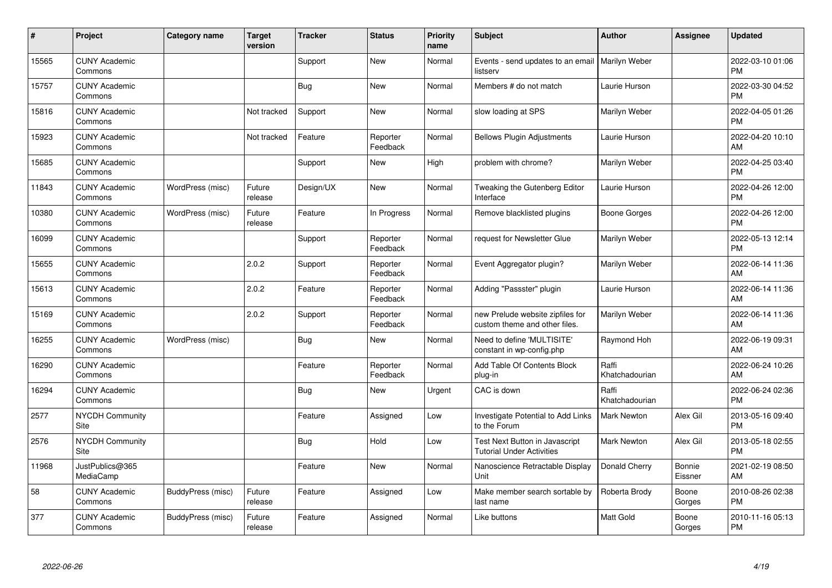| #     | Project                         | <b>Category name</b> | <b>Target</b><br>version | <b>Tracker</b> | <b>Status</b>        | <b>Priority</b><br>name | <b>Subject</b>                                                     | <b>Author</b>           | <b>Assignee</b>   | <b>Updated</b>                |
|-------|---------------------------------|----------------------|--------------------------|----------------|----------------------|-------------------------|--------------------------------------------------------------------|-------------------------|-------------------|-------------------------------|
| 15565 | <b>CUNY Academic</b><br>Commons |                      |                          | Support        | <b>New</b>           | Normal                  | Events - send updates to an email   Marilyn Weber<br>listserv      |                         |                   | 2022-03-10 01:06<br><b>PM</b> |
| 15757 | <b>CUNY Academic</b><br>Commons |                      |                          | <b>Bug</b>     | <b>New</b>           | Normal                  | Members # do not match                                             | Laurie Hurson           |                   | 2022-03-30 04:52<br><b>PM</b> |
| 15816 | <b>CUNY Academic</b><br>Commons |                      | Not tracked              | Support        | <b>New</b>           | Normal                  | slow loading at SPS                                                | Marilyn Weber           |                   | 2022-04-05 01:26<br><b>PM</b> |
| 15923 | <b>CUNY Academic</b><br>Commons |                      | Not tracked              | Feature        | Reporter<br>Feedback | Normal                  | <b>Bellows Plugin Adjustments</b>                                  | Laurie Hurson           |                   | 2022-04-20 10:10<br>AM        |
| 15685 | <b>CUNY Academic</b><br>Commons |                      |                          | Support        | New                  | High                    | problem with chrome?                                               | Marilyn Weber           |                   | 2022-04-25 03:40<br><b>PM</b> |
| 11843 | <b>CUNY Academic</b><br>Commons | WordPress (misc)     | Future<br>release        | Design/UX      | <b>New</b>           | Normal                  | Tweaking the Gutenberg Editor<br>Interface                         | Laurie Hurson           |                   | 2022-04-26 12:00<br><b>PM</b> |
| 10380 | <b>CUNY Academic</b><br>Commons | WordPress (misc)     | Future<br>release        | Feature        | In Progress          | Normal                  | Remove blacklisted plugins                                         | <b>Boone Gorges</b>     |                   | 2022-04-26 12:00<br><b>PM</b> |
| 16099 | <b>CUNY Academic</b><br>Commons |                      |                          | Support        | Reporter<br>Feedback | Normal                  | request for Newsletter Glue                                        | Marilyn Weber           |                   | 2022-05-13 12:14<br><b>PM</b> |
| 15655 | <b>CUNY Academic</b><br>Commons |                      | 2.0.2                    | Support        | Reporter<br>Feedback | Normal                  | Event Aggregator plugin?                                           | Marilyn Weber           |                   | 2022-06-14 11:36<br>AM        |
| 15613 | <b>CUNY Academic</b><br>Commons |                      | 2.0.2                    | Feature        | Reporter<br>Feedback | Normal                  | Adding "Passster" plugin                                           | Laurie Hurson           |                   | 2022-06-14 11:36<br>AM        |
| 15169 | <b>CUNY Academic</b><br>Commons |                      | 2.0.2                    | Support        | Reporter<br>Feedback | Normal                  | new Prelude website zipfiles for<br>custom theme and other files.  | Marilyn Weber           |                   | 2022-06-14 11:36<br>AM        |
| 16255 | <b>CUNY Academic</b><br>Commons | WordPress (misc)     |                          | <b>Bug</b>     | <b>New</b>           | Normal                  | Need to define 'MULTISITE'<br>constant in wp-config.php            | Raymond Hoh             |                   | 2022-06-19 09:31<br>AM        |
| 16290 | <b>CUNY Academic</b><br>Commons |                      |                          | Feature        | Reporter<br>Feedback | Normal                  | Add Table Of Contents Block<br>plug-in                             | Raffi<br>Khatchadourian |                   | 2022-06-24 10:26<br>AM        |
| 16294 | <b>CUNY Academic</b><br>Commons |                      |                          | <b>Bug</b>     | <b>New</b>           | Urgent                  | CAC is down                                                        | Raffi<br>Khatchadourian |                   | 2022-06-24 02:36<br><b>PM</b> |
| 2577  | <b>NYCDH Community</b><br>Site  |                      |                          | Feature        | Assigned             | Low                     | Investigate Potential to Add Links<br>to the Forum                 | <b>Mark Newton</b>      | Alex Gil          | 2013-05-16 09:40<br><b>PM</b> |
| 2576  | NYCDH Community<br>Site         |                      |                          | <b>Bug</b>     | Hold                 | Low                     | Test Next Button in Javascript<br><b>Tutorial Under Activities</b> | <b>Mark Newton</b>      | Alex Gil          | 2013-05-18 02:55<br><b>PM</b> |
| 11968 | JustPublics@365<br>MediaCamp    |                      |                          | Feature        | New                  | Normal                  | Nanoscience Retractable Display<br>Unit                            | Donald Cherry           | Bonnie<br>Eissner | 2021-02-19 08:50<br>AM        |
| 58    | <b>CUNY Academic</b><br>Commons | BuddyPress (misc)    | Future<br>release        | Feature        | Assigned             | Low                     | Make member search sortable by<br>last name                        | Roberta Brody           | Boone<br>Gorges   | 2010-08-26 02:38<br><b>PM</b> |
| 377   | <b>CUNY Academic</b><br>Commons | BuddyPress (misc)    | Future<br>release        | Feature        | Assigned             | Normal                  | Like buttons                                                       | <b>Matt Gold</b>        | Boone<br>Gorges   | 2010-11-16 05:13<br>PM        |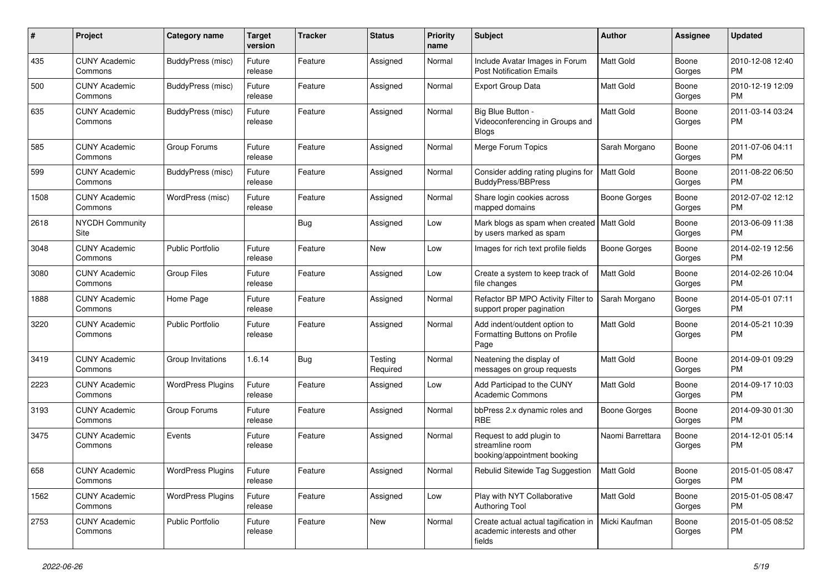| #    | Project                         | <b>Category name</b>     | <b>Target</b><br>version | <b>Tracker</b> | <b>Status</b>       | <b>Priority</b><br>name | Subject                                                                                        | <b>Author</b>       | <b>Assignee</b> | <b>Updated</b>                |
|------|---------------------------------|--------------------------|--------------------------|----------------|---------------------|-------------------------|------------------------------------------------------------------------------------------------|---------------------|-----------------|-------------------------------|
| 435  | <b>CUNY Academic</b><br>Commons | BuddyPress (misc)        | Future<br>release        | Feature        | Assigned            | Normal                  | Include Avatar Images in Forum<br><b>Post Notification Emails</b>                              | <b>Matt Gold</b>    | Boone<br>Gorges | 2010-12-08 12:40<br>PM        |
| 500  | <b>CUNY Academic</b><br>Commons | BuddyPress (misc)        | Future<br>release        | Feature        | Assigned            | Normal                  | <b>Export Group Data</b>                                                                       | Matt Gold           | Boone<br>Gorges | 2010-12-19 12:09<br>PM        |
| 635  | <b>CUNY Academic</b><br>Commons | BuddyPress (misc)        | Future<br>release        | Feature        | Assigned            | Normal                  | Big Blue Button -<br>Videoconferencing in Groups and<br><b>Blogs</b>                           | Matt Gold           | Boone<br>Gorges | 2011-03-14 03:24<br><b>PM</b> |
| 585  | <b>CUNY Academic</b><br>Commons | Group Forums             | Future<br>release        | Feature        | Assigned            | Normal                  | Merge Forum Topics                                                                             | Sarah Morgano       | Boone<br>Gorges | 2011-07-06 04:11<br><b>PM</b> |
| 599  | <b>CUNY Academic</b><br>Commons | BuddyPress (misc)        | Future<br>release        | Feature        | Assigned            | Normal                  | Consider adding rating plugins for<br>BuddyPress/BBPress                                       | <b>Matt Gold</b>    | Boone<br>Gorges | 2011-08-22 06:50<br>PM        |
| 1508 | <b>CUNY Academic</b><br>Commons | WordPress (misc)         | Future<br>release        | Feature        | Assigned            | Normal                  | Share login cookies across<br>mapped domains                                                   | Boone Gorges        | Boone<br>Gorges | 2012-07-02 12:12<br><b>PM</b> |
| 2618 | <b>NYCDH Community</b><br>Site  |                          |                          | Bug            | Assigned            | Low                     | Mark blogs as spam when created   Matt Gold<br>by users marked as spam                         |                     | Boone<br>Gorges | 2013-06-09 11:38<br>PM        |
| 3048 | <b>CUNY Academic</b><br>Commons | <b>Public Portfolio</b>  | Future<br>release        | Feature        | New                 | Low                     | Images for rich text profile fields                                                            | <b>Boone Gorges</b> | Boone<br>Gorges | 2014-02-19 12:56<br>PM        |
| 3080 | <b>CUNY Academic</b><br>Commons | <b>Group Files</b>       | Future<br>release        | Feature        | Assigned            | Low                     | Create a system to keep track of<br>file changes                                               | Matt Gold           | Boone<br>Gorges | 2014-02-26 10:04<br><b>PM</b> |
| 1888 | <b>CUNY Academic</b><br>Commons | Home Page                | Future<br>release        | Feature        | Assigned            | Normal                  | Refactor BP MPO Activity Filter to<br>support proper pagination                                | Sarah Morgano       | Boone<br>Gorges | 2014-05-01 07:11<br><b>PM</b> |
| 3220 | <b>CUNY Academic</b><br>Commons | <b>Public Portfolio</b>  | Future<br>release        | Feature        | Assigned            | Normal                  | Add indent/outdent option to<br>Formatting Buttons on Profile<br>Page                          | Matt Gold           | Boone<br>Gorges | 2014-05-21 10:39<br>PM        |
| 3419 | <b>CUNY Academic</b><br>Commons | Group Invitations        | 1.6.14                   | Bug            | Testing<br>Required | Normal                  | Neatening the display of<br>messages on group requests                                         | Matt Gold           | Boone<br>Gorges | 2014-09-01 09:29<br><b>PM</b> |
| 2223 | <b>CUNY Academic</b><br>Commons | <b>WordPress Plugins</b> | Future<br>release        | Feature        | Assigned            | Low                     | Add Participad to the CUNY<br><b>Academic Commons</b>                                          | Matt Gold           | Boone<br>Gorges | 2014-09-17 10:03<br><b>PM</b> |
| 3193 | <b>CUNY Academic</b><br>Commons | Group Forums             | Future<br>release        | Feature        | Assigned            | Normal                  | bbPress 2.x dynamic roles and<br><b>RBE</b>                                                    | <b>Boone Gorges</b> | Boone<br>Gorges | 2014-09-30 01:30<br><b>PM</b> |
| 3475 | <b>CUNY Academic</b><br>Commons | Events                   | Future<br>release        | Feature        | Assigned            | Normal                  | Request to add plugin to<br>streamline room<br>booking/appointment booking                     | Naomi Barrettara    | Boone<br>Gorges | 2014-12-01 05:14<br>PM        |
| 658  | <b>CUNY Academic</b><br>Commons | <b>WordPress Plugins</b> | Future<br>release        | Feature        | Assigned            | Normal                  | Rebulid Sitewide Tag Suggestion                                                                | <b>Matt Gold</b>    | Boone<br>Gorges | 2015-01-05 08:47<br><b>PM</b> |
| 1562 | <b>CUNY Academic</b><br>Commons | <b>WordPress Plugins</b> | Future<br>release        | Feature        | Assigned            | Low                     | Play with NYT Collaborative<br><b>Authoring Tool</b>                                           | Matt Gold           | Boone<br>Gorges | 2015-01-05 08:47<br><b>PM</b> |
| 2753 | <b>CUNY Academic</b><br>Commons | Public Portfolio         | Future<br>release        | Feature        | New                 | Normal                  | Create actual actual tagification in   Micki Kaufman<br>academic interests and other<br>fields |                     | Boone<br>Gorges | 2015-01-05 08:52<br>PM        |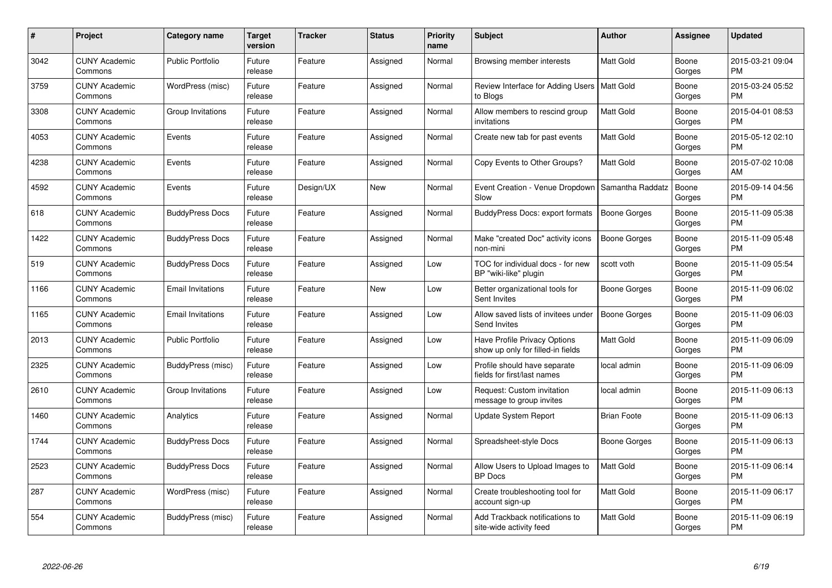| $\#$ | Project                         | <b>Category name</b>     | Target<br>version | <b>Tracker</b> | <b>Status</b> | <b>Priority</b><br>name | <b>Subject</b>                                                    | <b>Author</b>       | <b>Assignee</b> | <b>Updated</b>                |
|------|---------------------------------|--------------------------|-------------------|----------------|---------------|-------------------------|-------------------------------------------------------------------|---------------------|-----------------|-------------------------------|
| 3042 | <b>CUNY Academic</b><br>Commons | <b>Public Portfolio</b>  | Future<br>release | Feature        | Assigned      | Normal                  | Browsing member interests                                         | Matt Gold           | Boone<br>Gorges | 2015-03-21 09:04<br><b>PM</b> |
| 3759 | <b>CUNY Academic</b><br>Commons | WordPress (misc)         | Future<br>release | Feature        | Assigned      | Normal                  | Review Interface for Adding Users   Matt Gold<br>to Blogs         |                     | Boone<br>Gorges | 2015-03-24 05:52<br><b>PM</b> |
| 3308 | <b>CUNY Academic</b><br>Commons | Group Invitations        | Future<br>release | Feature        | Assigned      | Normal                  | Allow members to rescind group<br>invitations                     | Matt Gold           | Boone<br>Gorges | 2015-04-01 08:53<br><b>PM</b> |
| 4053 | <b>CUNY Academic</b><br>Commons | Events                   | Future<br>release | Feature        | Assigned      | Normal                  | Create new tab for past events                                    | Matt Gold           | Boone<br>Gorges | 2015-05-12 02:10<br><b>PM</b> |
| 4238 | <b>CUNY Academic</b><br>Commons | Events                   | Future<br>release | Feature        | Assigned      | Normal                  | Copy Events to Other Groups?                                      | <b>Matt Gold</b>    | Boone<br>Gorges | 2015-07-02 10:08<br>AM        |
| 4592 | <b>CUNY Academic</b><br>Commons | Events                   | Future<br>release | Design/UX      | <b>New</b>    | Normal                  | Event Creation - Venue Dropdown<br>Slow                           | Samantha Raddatz    | Boone<br>Gorges | 2015-09-14 04:56<br><b>PM</b> |
| 618  | <b>CUNY Academic</b><br>Commons | <b>BuddyPress Docs</b>   | Future<br>release | Feature        | Assigned      | Normal                  | BuddyPress Docs: export formats                                   | <b>Boone Gorges</b> | Boone<br>Gorges | 2015-11-09 05:38<br><b>PM</b> |
| 1422 | <b>CUNY Academic</b><br>Commons | <b>BuddyPress Docs</b>   | Future<br>release | Feature        | Assigned      | Normal                  | Make "created Doc" activity icons<br>non-mini                     | Boone Gorges        | Boone<br>Gorges | 2015-11-09 05:48<br><b>PM</b> |
| 519  | <b>CUNY Academic</b><br>Commons | <b>BuddyPress Docs</b>   | Future<br>release | Feature        | Assigned      | Low                     | TOC for individual docs - for new<br>BP "wiki-like" plugin        | scott voth          | Boone<br>Gorges | 2015-11-09 05:54<br><b>PM</b> |
| 1166 | <b>CUNY Academic</b><br>Commons | <b>Email Invitations</b> | Future<br>release | Feature        | <b>New</b>    | Low                     | Better organizational tools for<br>Sent Invites                   | Boone Gorges        | Boone<br>Gorges | 2015-11-09 06:02<br>PM        |
| 1165 | <b>CUNY Academic</b><br>Commons | <b>Email Invitations</b> | Future<br>release | Feature        | Assigned      | Low                     | Allow saved lists of invitees under<br>Send Invites               | Boone Gorges        | Boone<br>Gorges | 2015-11-09 06:03<br><b>PM</b> |
| 2013 | <b>CUNY Academic</b><br>Commons | <b>Public Portfolio</b>  | Future<br>release | Feature        | Assigned      | Low                     | Have Profile Privacy Options<br>show up only for filled-in fields | Matt Gold           | Boone<br>Gorges | 2015-11-09 06:09<br><b>PM</b> |
| 2325 | <b>CUNY Academic</b><br>Commons | BuddyPress (misc)        | Future<br>release | Feature        | Assigned      | Low                     | Profile should have separate<br>fields for first/last names       | local admin         | Boone<br>Gorges | 2015-11-09 06:09<br><b>PM</b> |
| 2610 | <b>CUNY Academic</b><br>Commons | Group Invitations        | Future<br>release | Feature        | Assigned      | Low                     | Request: Custom invitation<br>message to group invites            | local admin         | Boone<br>Gorges | 2015-11-09 06:13<br><b>PM</b> |
| 1460 | <b>CUNY Academic</b><br>Commons | Analytics                | Future<br>release | Feature        | Assigned      | Normal                  | Update System Report                                              | <b>Brian Foote</b>  | Boone<br>Gorges | 2015-11-09 06:13<br><b>PM</b> |
| 1744 | <b>CUNY Academic</b><br>Commons | <b>BuddyPress Docs</b>   | Future<br>release | Feature        | Assigned      | Normal                  | Spreadsheet-style Docs                                            | Boone Gorges        | Boone<br>Gorges | 2015-11-09 06:13<br><b>PM</b> |
| 2523 | <b>CUNY Academic</b><br>Commons | <b>BuddyPress Docs</b>   | Future<br>release | Feature        | Assigned      | Normal                  | Allow Users to Upload Images to<br><b>BP</b> Docs                 | Matt Gold           | Boone<br>Gorges | 2015-11-09 06:14<br><b>PM</b> |
| 287  | <b>CUNY Academic</b><br>Commons | WordPress (misc)         | Future<br>release | Feature        | Assigned      | Normal                  | Create troubleshooting tool for<br>account sign-up                | Matt Gold           | Boone<br>Gorges | 2015-11-09 06:17<br><b>PM</b> |
| 554  | CUNY Academic<br>Commons        | BuddyPress (misc)        | Future<br>release | Feature        | Assigned      | Normal                  | Add Trackback notifications to<br>site-wide activity feed         | Matt Gold           | Boone<br>Gorges | 2015-11-09 06:19<br>PM        |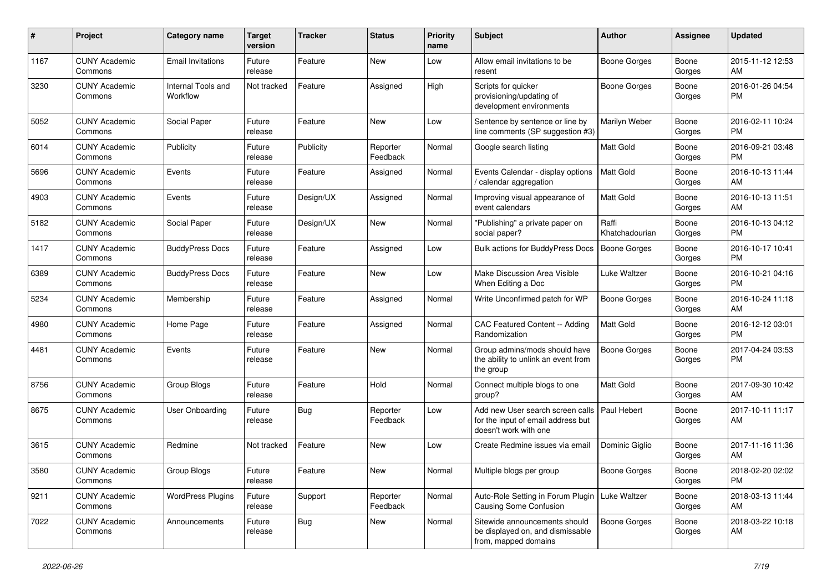| #    | Project                         | <b>Category name</b>           | <b>Target</b><br>version | <b>Tracker</b> | <b>Status</b>        | <b>Priority</b><br>name | <b>Subject</b>                                                                                  | <b>Author</b>           | Assignee        | <b>Updated</b>                |
|------|---------------------------------|--------------------------------|--------------------------|----------------|----------------------|-------------------------|-------------------------------------------------------------------------------------------------|-------------------------|-----------------|-------------------------------|
| 1167 | <b>CUNY Academic</b><br>Commons | <b>Email Invitations</b>       | Future<br>release        | Feature        | New                  | Low                     | Allow email invitations to be<br>resent                                                         | <b>Boone Gorges</b>     | Boone<br>Gorges | 2015-11-12 12:53<br>AM        |
| 3230 | <b>CUNY Academic</b><br>Commons | Internal Tools and<br>Workflow | Not tracked              | Feature        | Assigned             | High                    | Scripts for quicker<br>provisioning/updating of<br>development environments                     | <b>Boone Gorges</b>     | Boone<br>Gorges | 2016-01-26 04:54<br>PM        |
| 5052 | <b>CUNY Academic</b><br>Commons | Social Paper                   | Future<br>release        | Feature        | New                  | Low                     | Sentence by sentence or line by<br>line comments (SP suggestion #3)                             | Marilyn Weber           | Boone<br>Gorges | 2016-02-11 10:24<br>PM        |
| 6014 | <b>CUNY Academic</b><br>Commons | Publicity                      | Future<br>release        | Publicity      | Reporter<br>Feedback | Normal                  | Google search listing                                                                           | Matt Gold               | Boone<br>Gorges | 2016-09-21 03:48<br>PM        |
| 5696 | <b>CUNY Academic</b><br>Commons | Events                         | Future<br>release        | Feature        | Assigned             | Normal                  | Events Calendar - display options<br>/ calendar aggregation                                     | <b>Matt Gold</b>        | Boone<br>Gorges | 2016-10-13 11:44<br>AM        |
| 4903 | <b>CUNY Academic</b><br>Commons | Events                         | Future<br>release        | Design/UX      | Assigned             | Normal                  | Improving visual appearance of<br>event calendars                                               | Matt Gold               | Boone<br>Gorges | 2016-10-13 11:51<br>AM        |
| 5182 | <b>CUNY Academic</b><br>Commons | Social Paper                   | Future<br>release        | Design/UX      | New                  | Normal                  | "Publishing" a private paper on<br>social paper?                                                | Raffi<br>Khatchadourian | Boone<br>Gorges | 2016-10-13 04:12<br>PM        |
| 1417 | <b>CUNY Academic</b><br>Commons | <b>BuddyPress Docs</b>         | Future<br>release        | Feature        | Assigned             | Low                     | <b>Bulk actions for BuddyPress Docs</b>                                                         | Boone Gorges            | Boone<br>Gorges | 2016-10-17 10:41<br>PM        |
| 6389 | <b>CUNY Academic</b><br>Commons | <b>BuddyPress Docs</b>         | Future<br>release        | Feature        | New                  | Low                     | Make Discussion Area Visible<br>When Editing a Doc                                              | Luke Waltzer            | Boone<br>Gorges | 2016-10-21 04:16<br><b>PM</b> |
| 5234 | <b>CUNY Academic</b><br>Commons | Membership                     | Future<br>release        | Feature        | Assigned             | Normal                  | Write Unconfirmed patch for WP                                                                  | <b>Boone Gorges</b>     | Boone<br>Gorges | 2016-10-24 11:18<br>AM        |
| 4980 | <b>CUNY Academic</b><br>Commons | Home Page                      | Future<br>release        | Feature        | Assigned             | Normal                  | CAC Featured Content -- Adding<br>Randomization                                                 | Matt Gold               | Boone<br>Gorges | 2016-12-12 03:01<br><b>PM</b> |
| 4481 | <b>CUNY Academic</b><br>Commons | Events                         | Future<br>release        | Feature        | New                  | Normal                  | Group admins/mods should have<br>the ability to unlink an event from<br>the group               | <b>Boone Gorges</b>     | Boone<br>Gorges | 2017-04-24 03:53<br>PM        |
| 8756 | <b>CUNY Academic</b><br>Commons | Group Blogs                    | Future<br>release        | Feature        | Hold                 | Normal                  | Connect multiple blogs to one<br>group?                                                         | Matt Gold               | Boone<br>Gorges | 2017-09-30 10:42<br>AM        |
| 8675 | <b>CUNY Academic</b><br>Commons | User Onboarding                | Future<br>release        | Bug            | Reporter<br>Feedback | Low                     | Add new User search screen calls<br>for the input of email address but<br>doesn't work with one | <b>Paul Hebert</b>      | Boone<br>Gorges | 2017-10-11 11:17<br>AM        |
| 3615 | <b>CUNY Academic</b><br>Commons | Redmine                        | Not tracked              | Feature        | New                  | Low                     | Create Redmine issues via email                                                                 | Dominic Gialio          | Boone<br>Gorges | 2017-11-16 11:36<br>AM        |
| 3580 | <b>CUNY Academic</b><br>Commons | Group Blogs                    | Future<br>release        | Feature        | New                  | Normal                  | Multiple blogs per group                                                                        | Boone Gorges            | Boone<br>Gorges | 2018-02-20 02:02<br><b>PM</b> |
| 9211 | <b>CUNY Academic</b><br>Commons | <b>WordPress Plugins</b>       | Future<br>release        | Support        | Reporter<br>Feedback | Normal                  | Auto-Role Setting in Forum Plugin<br>Causing Some Confusion                                     | Luke Waltzer            | Boone<br>Gorges | 2018-03-13 11:44<br>AM        |
| 7022 | <b>CUNY Academic</b><br>Commons | Announcements                  | Future<br>release        | <b>Bug</b>     | New                  | Normal                  | Sitewide announcements should<br>be displayed on, and dismissable<br>from, mapped domains       | Boone Gorges            | Boone<br>Gorges | 2018-03-22 10:18<br>AM        |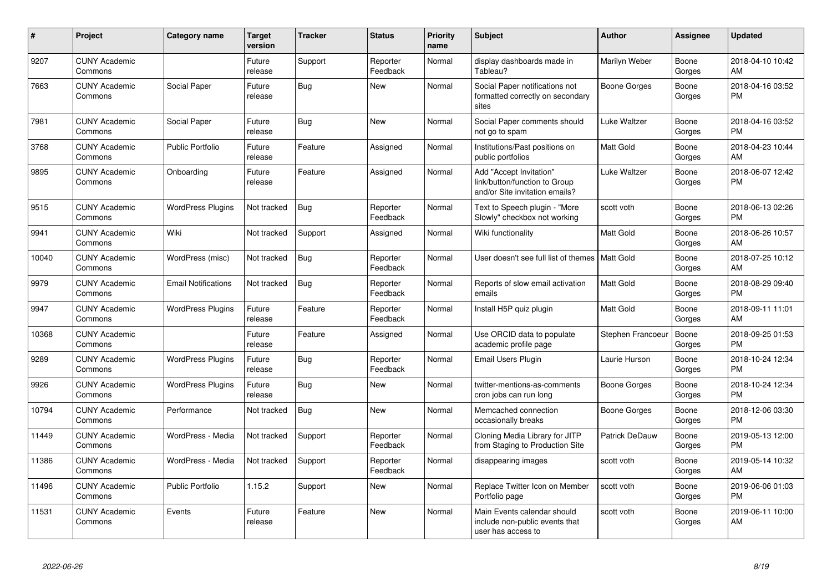| #     | Project                         | <b>Category name</b>       | <b>Target</b><br>version | <b>Tracker</b> | <b>Status</b>        | <b>Priority</b><br>name | <b>Subject</b>                                                                             | <b>Author</b>     | Assignee        | <b>Updated</b>                |
|-------|---------------------------------|----------------------------|--------------------------|----------------|----------------------|-------------------------|--------------------------------------------------------------------------------------------|-------------------|-----------------|-------------------------------|
| 9207  | <b>CUNY Academic</b><br>Commons |                            | Future<br>release        | Support        | Reporter<br>Feedback | Normal                  | display dashboards made in<br>Tableau?                                                     | Marilyn Weber     | Boone<br>Gorges | 2018-04-10 10:42<br>AM        |
| 7663  | <b>CUNY Academic</b><br>Commons | Social Paper               | Future<br>release        | Bug            | <b>New</b>           | Normal                  | Social Paper notifications not<br>formatted correctly on secondary<br>sites                | Boone Gorges      | Boone<br>Gorges | 2018-04-16 03:52<br><b>PM</b> |
| 7981  | <b>CUNY Academic</b><br>Commons | Social Paper               | Future<br>release        | Bug            | New                  | Normal                  | Social Paper comments should<br>not go to spam                                             | Luke Waltzer      | Boone<br>Gorges | 2018-04-16 03:52<br><b>PM</b> |
| 3768  | <b>CUNY Academic</b><br>Commons | <b>Public Portfolio</b>    | Future<br>release        | Feature        | Assigned             | Normal                  | Institutions/Past positions on<br>public portfolios                                        | <b>Matt Gold</b>  | Boone<br>Gorges | 2018-04-23 10:44<br>AM        |
| 9895  | <b>CUNY Academic</b><br>Commons | Onboarding                 | Future<br>release        | Feature        | Assigned             | Normal                  | Add "Accept Invitation"<br>link/button/function to Group<br>and/or Site invitation emails? | Luke Waltzer      | Boone<br>Gorges | 2018-06-07 12:42<br><b>PM</b> |
| 9515  | <b>CUNY Academic</b><br>Commons | <b>WordPress Plugins</b>   | Not tracked              | <b>Bug</b>     | Reporter<br>Feedback | Normal                  | Text to Speech plugin - "More<br>Slowly" checkbox not working                              | scott voth        | Boone<br>Gorges | 2018-06-13 02:26<br><b>PM</b> |
| 9941  | <b>CUNY Academic</b><br>Commons | Wiki                       | Not tracked              | Support        | Assigned             | Normal                  | Wiki functionality                                                                         | Matt Gold         | Boone<br>Gorges | 2018-06-26 10:57<br>AM        |
| 10040 | <b>CUNY Academic</b><br>Commons | WordPress (misc)           | Not tracked              | <b>Bug</b>     | Reporter<br>Feedback | Normal                  | User doesn't see full list of themes   Matt Gold                                           |                   | Boone<br>Gorges | 2018-07-25 10:12<br>AM        |
| 9979  | <b>CUNY Academic</b><br>Commons | <b>Email Notifications</b> | Not tracked              | Bug            | Reporter<br>Feedback | Normal                  | Reports of slow email activation<br>emails                                                 | <b>Matt Gold</b>  | Boone<br>Gorges | 2018-08-29 09:40<br><b>PM</b> |
| 9947  | <b>CUNY Academic</b><br>Commons | <b>WordPress Plugins</b>   | Future<br>release        | Feature        | Reporter<br>Feedback | Normal                  | Install H5P quiz plugin                                                                    | Matt Gold         | Boone<br>Gorges | 2018-09-11 11:01<br>AM        |
| 10368 | <b>CUNY Academic</b><br>Commons |                            | Future<br>release        | Feature        | Assigned             | Normal                  | Use ORCID data to populate<br>academic profile page                                        | Stephen Francoeur | Boone<br>Gorges | 2018-09-25 01:53<br><b>PM</b> |
| 9289  | <b>CUNY Academic</b><br>Commons | <b>WordPress Plugins</b>   | Future<br>release        | <b>Bug</b>     | Reporter<br>Feedback | Normal                  | <b>Email Users Plugin</b>                                                                  | Laurie Hurson     | Boone<br>Gorges | 2018-10-24 12:34<br><b>PM</b> |
| 9926  | <b>CUNY Academic</b><br>Commons | <b>WordPress Plugins</b>   | Future<br>release        | <b>Bug</b>     | <b>New</b>           | Normal                  | twitter-mentions-as-comments<br>cron jobs can run long                                     | Boone Gorges      | Boone<br>Gorges | 2018-10-24 12:34<br><b>PM</b> |
| 10794 | <b>CUNY Academic</b><br>Commons | Performance                | Not tracked              | <b>Bug</b>     | <b>New</b>           | Normal                  | Memcached connection<br>occasionally breaks                                                | Boone Gorges      | Boone<br>Gorges | 2018-12-06 03:30<br><b>PM</b> |
| 11449 | <b>CUNY Academic</b><br>Commons | WordPress - Media          | Not tracked              | Support        | Reporter<br>Feedback | Normal                  | Cloning Media Library for JITP<br>from Staging to Production Site                          | Patrick DeDauw    | Boone<br>Gorges | 2019-05-13 12:00<br><b>PM</b> |
| 11386 | <b>CUNY Academic</b><br>Commons | WordPress - Media          | Not tracked              | Support        | Reporter<br>Feedback | Normal                  | disappearing images                                                                        | scott voth        | Boone<br>Gorges | 2019-05-14 10:32<br>AM        |
| 11496 | <b>CUNY Academic</b><br>Commons | <b>Public Portfolio</b>    | 1.15.2                   | Support        | <b>New</b>           | Normal                  | Replace Twitter Icon on Member<br>Portfolio page                                           | scott voth        | Boone<br>Gorges | 2019-06-06 01:03<br><b>PM</b> |
| 11531 | <b>CUNY Academic</b><br>Commons | Events                     | Future<br>release        | Feature        | <b>New</b>           | Normal                  | Main Events calendar should<br>include non-public events that<br>user has access to        | scott voth        | Boone<br>Gorges | 2019-06-11 10:00<br>AM        |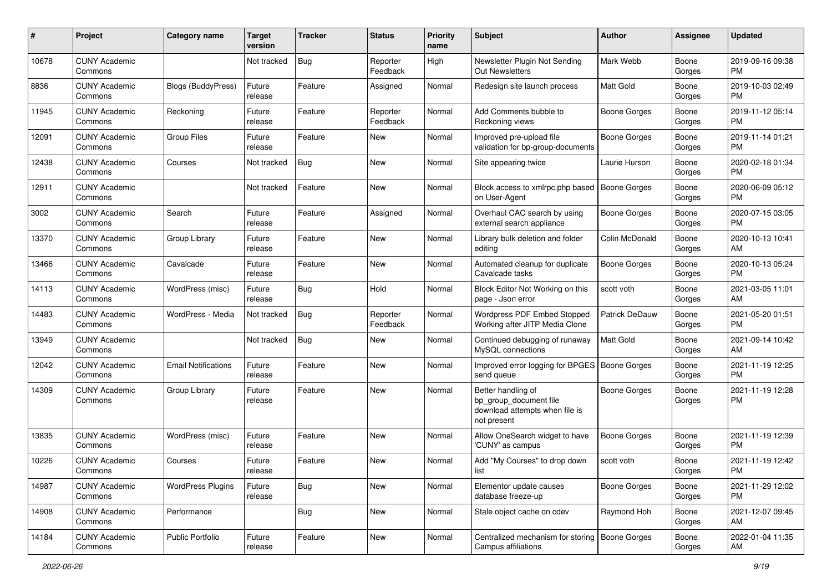| #     | Project                         | <b>Category name</b>       | <b>Target</b><br>version | <b>Tracker</b> | <b>Status</b>        | <b>Priority</b><br>name | Subject                                                                                       | Author              | <b>Assignee</b> | <b>Updated</b>                |
|-------|---------------------------------|----------------------------|--------------------------|----------------|----------------------|-------------------------|-----------------------------------------------------------------------------------------------|---------------------|-----------------|-------------------------------|
| 10678 | <b>CUNY Academic</b><br>Commons |                            | Not tracked              | Bug            | Reporter<br>Feedback | High                    | Newsletter Plugin Not Sending<br><b>Out Newsletters</b>                                       | Mark Webb           | Boone<br>Gorges | 2019-09-16 09:38<br><b>PM</b> |
| 8836  | <b>CUNY Academic</b><br>Commons | <b>Blogs (BuddyPress)</b>  | Future<br>release        | Feature        | Assigned             | Normal                  | Redesign site launch process                                                                  | Matt Gold           | Boone<br>Gorges | 2019-10-03 02:49<br><b>PM</b> |
| 11945 | <b>CUNY Academic</b><br>Commons | Reckoning                  | Future<br>release        | Feature        | Reporter<br>Feedback | Normal                  | Add Comments bubble to<br>Reckoning views                                                     | Boone Gorges        | Boone<br>Gorges | 2019-11-12 05:14<br><b>PM</b> |
| 12091 | <b>CUNY Academic</b><br>Commons | Group Files                | Future<br>release        | Feature        | New                  | Normal                  | Improved pre-upload file<br>validation for bp-group-documents                                 | <b>Boone Gorges</b> | Boone<br>Gorges | 2019-11-14 01:21<br><b>PM</b> |
| 12438 | <b>CUNY Academic</b><br>Commons | Courses                    | Not tracked              | Bug            | New                  | Normal                  | Site appearing twice                                                                          | Laurie Hurson       | Boone<br>Gorges | 2020-02-18 01:34<br><b>PM</b> |
| 12911 | <b>CUNY Academic</b><br>Commons |                            | Not tracked              | Feature        | New                  | Normal                  | Block access to xmlrpc.php based<br>on User-Agent                                             | <b>Boone Gorges</b> | Boone<br>Gorges | 2020-06-09 05:12<br><b>PM</b> |
| 3002  | <b>CUNY Academic</b><br>Commons | Search                     | Future<br>release        | Feature        | Assigned             | Normal                  | Overhaul CAC search by using<br>external search appliance                                     | Boone Gorges        | Boone<br>Gorges | 2020-07-15 03:05<br><b>PM</b> |
| 13370 | <b>CUNY Academic</b><br>Commons | Group Library              | Future<br>release        | Feature        | New                  | Normal                  | Library bulk deletion and folder<br>editing                                                   | Colin McDonald      | Boone<br>Gorges | 2020-10-13 10:41<br>AM        |
| 13466 | <b>CUNY Academic</b><br>Commons | Cavalcade                  | Future<br>release        | Feature        | New                  | Normal                  | Automated cleanup for duplicate<br>Cavalcade tasks                                            | <b>Boone Gorges</b> | Boone<br>Gorges | 2020-10-13 05:24<br><b>PM</b> |
| 14113 | <b>CUNY Academic</b><br>Commons | WordPress (misc)           | Future<br>release        | Bug            | Hold                 | Normal                  | Block Editor Not Working on this<br>page - Json error                                         | scott voth          | Boone<br>Gorges | 2021-03-05 11:01<br>AM        |
| 14483 | <b>CUNY Academic</b><br>Commons | WordPress - Media          | Not tracked              | Bug            | Reporter<br>Feedback | Normal                  | Wordpress PDF Embed Stopped<br>Working after JITP Media Clone                                 | Patrick DeDauw      | Boone<br>Gorges | 2021-05-20 01:51<br><b>PM</b> |
| 13949 | <b>CUNY Academic</b><br>Commons |                            | Not tracked              | <b>Bug</b>     | New                  | Normal                  | Continued debugging of runaway<br>MySQL connections                                           | <b>Matt Gold</b>    | Boone<br>Gorges | 2021-09-14 10:42<br>AM        |
| 12042 | <b>CUNY Academic</b><br>Commons | <b>Email Notifications</b> | Future<br>release        | Feature        | New                  | Normal                  | Improved error logging for BPGES   Boone Gorges<br>send queue                                 |                     | Boone<br>Gorges | 2021-11-19 12:25<br><b>PM</b> |
| 14309 | <b>CUNY Academic</b><br>Commons | Group Library              | Future<br>release        | Feature        | New                  | Normal                  | Better handling of<br>bp_group_document file<br>download attempts when file is<br>not present | <b>Boone Gorges</b> | Boone<br>Gorges | 2021-11-19 12:28<br><b>PM</b> |
| 13835 | <b>CUNY Academic</b><br>Commons | WordPress (misc)           | Future<br>release        | Feature        | New                  | Normal                  | Allow OneSearch widget to have<br>'CUNY' as campus                                            | <b>Boone Gorges</b> | Boone<br>Gorges | 2021-11-19 12:39<br><b>PM</b> |
| 10226 | <b>CUNY Academic</b><br>Commons | Courses                    | Future<br>release        | Feature        | New                  | Normal                  | Add "My Courses" to drop down<br>list                                                         | scott voth          | Boone<br>Gorges | 2021-11-19 12:42<br>PM        |
| 14987 | <b>CUNY Academic</b><br>Commons | <b>WordPress Plugins</b>   | Future<br>release        | Bug            | New                  | Normal                  | Elementor update causes<br>database freeze-up                                                 | <b>Boone Gorges</b> | Boone<br>Gorges | 2021-11-29 12:02<br>PM        |
| 14908 | <b>CUNY Academic</b><br>Commons | Performance                |                          | <b>Bug</b>     | New                  | Normal                  | Stale object cache on cdev                                                                    | Raymond Hoh         | Boone<br>Gorges | 2021-12-07 09:45<br>AM        |
| 14184 | <b>CUNY Academic</b><br>Commons | Public Portfolio           | Future<br>release        | Feature        | New                  | Normal                  | Centralized mechanism for storing<br>Campus affiliations                                      | Boone Gorges        | Boone<br>Gorges | 2022-01-04 11:35<br>AM        |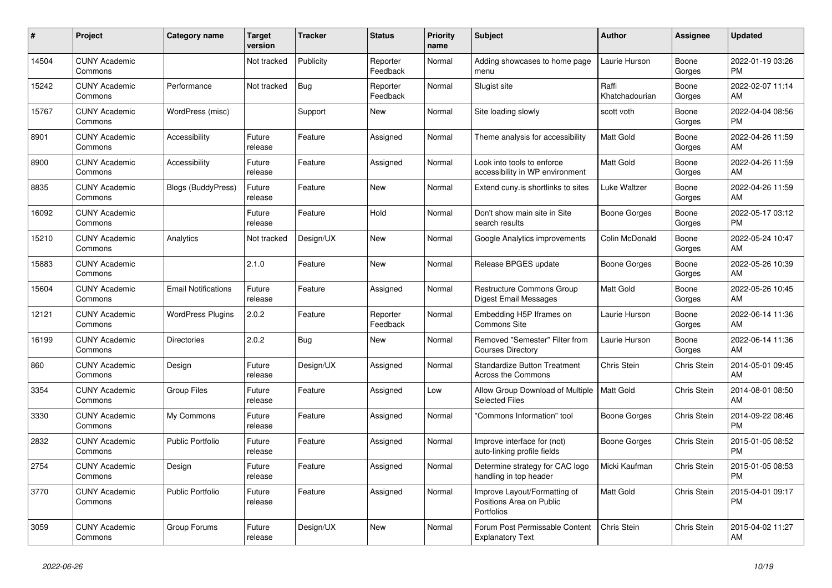| $\#$  | Project                         | <b>Category name</b>       | <b>Target</b><br>version | <b>Tracker</b> | <b>Status</b>        | <b>Priority</b><br>name | <b>Subject</b>                                                         | <b>Author</b>           | <b>Assignee</b> | <b>Updated</b>                |
|-------|---------------------------------|----------------------------|--------------------------|----------------|----------------------|-------------------------|------------------------------------------------------------------------|-------------------------|-----------------|-------------------------------|
| 14504 | <b>CUNY Academic</b><br>Commons |                            | Not tracked              | Publicity      | Reporter<br>Feedback | Normal                  | Adding showcases to home page<br>menu                                  | Laurie Hurson           | Boone<br>Gorges | 2022-01-19 03:26<br><b>PM</b> |
| 15242 | <b>CUNY Academic</b><br>Commons | Performance                | Not tracked              | Bug            | Reporter<br>Feedback | Normal                  | Slugist site                                                           | Raffi<br>Khatchadourian | Boone<br>Gorges | 2022-02-07 11:14<br>AM        |
| 15767 | <b>CUNY Academic</b><br>Commons | WordPress (misc)           |                          | Support        | New                  | Normal                  | Site loading slowly                                                    | scott voth              | Boone<br>Gorges | 2022-04-04 08:56<br><b>PM</b> |
| 8901  | <b>CUNY Academic</b><br>Commons | Accessibility              | Future<br>release        | Feature        | Assigned             | Normal                  | Theme analysis for accessibility                                       | <b>Matt Gold</b>        | Boone<br>Gorges | 2022-04-26 11:59<br>AM        |
| 8900  | <b>CUNY Academic</b><br>Commons | Accessibility              | Future<br>release        | Feature        | Assigned             | Normal                  | Look into tools to enforce<br>accessibility in WP environment          | Matt Gold               | Boone<br>Gorges | 2022-04-26 11:59<br>AM        |
| 8835  | <b>CUNY Academic</b><br>Commons | Blogs (BuddyPress)         | Future<br>release        | Feature        | <b>New</b>           | Normal                  | Extend cuny is shortlinks to sites                                     | Luke Waltzer            | Boone<br>Gorges | 2022-04-26 11:59<br>AM        |
| 16092 | <b>CUNY Academic</b><br>Commons |                            | Future<br>release        | Feature        | Hold                 | Normal                  | Don't show main site in Site<br>search results                         | Boone Gorges            | Boone<br>Gorges | 2022-05-17 03:12<br><b>PM</b> |
| 15210 | <b>CUNY Academic</b><br>Commons | Analytics                  | Not tracked              | Design/UX      | <b>New</b>           | Normal                  | Google Analytics improvements                                          | Colin McDonald          | Boone<br>Gorges | 2022-05-24 10:47<br>AM        |
| 15883 | <b>CUNY Academic</b><br>Commons |                            | 2.1.0                    | Feature        | <b>New</b>           | Normal                  | Release BPGES update                                                   | Boone Gorges            | Boone<br>Gorges | 2022-05-26 10:39<br>AM        |
| 15604 | <b>CUNY Academic</b><br>Commons | <b>Email Notifications</b> | Future<br>release        | Feature        | Assigned             | Normal                  | Restructure Commons Group<br>Digest Email Messages                     | <b>Matt Gold</b>        | Boone<br>Gorges | 2022-05-26 10:45<br>AM        |
| 12121 | <b>CUNY Academic</b><br>Commons | <b>WordPress Plugins</b>   | 2.0.2                    | Feature        | Reporter<br>Feedback | Normal                  | Embedding H5P Iframes on<br>Commons Site                               | Laurie Hurson           | Boone<br>Gorges | 2022-06-14 11:36<br>AM        |
| 16199 | <b>CUNY Academic</b><br>Commons | <b>Directories</b>         | 2.0.2                    | <b>Bug</b>     | New                  | Normal                  | Removed "Semester" Filter from<br><b>Courses Directory</b>             | Laurie Hurson           | Boone<br>Gorges | 2022-06-14 11:36<br>AM        |
| 860   | <b>CUNY Academic</b><br>Commons | Design                     | Future<br>release        | Design/UX      | Assigned             | Normal                  | <b>Standardize Button Treatment</b><br>Across the Commons              | Chris Stein             | Chris Stein     | 2014-05-01 09:45<br>AM        |
| 3354  | <b>CUNY Academic</b><br>Commons | <b>Group Files</b>         | Future<br>release        | Feature        | Assigned             | Low                     | Allow Group Download of Multiple<br><b>Selected Files</b>              | <b>Matt Gold</b>        | Chris Stein     | 2014-08-01 08:50<br>AM        |
| 3330  | <b>CUNY Academic</b><br>Commons | My Commons                 | Future<br>release        | Feature        | Assigned             | Normal                  | 'Commons Information" tool                                             | Boone Gorges            | Chris Stein     | 2014-09-22 08:46<br><b>PM</b> |
| 2832  | <b>CUNY Academic</b><br>Commons | <b>Public Portfolio</b>    | Future<br>release        | Feature        | Assigned             | Normal                  | Improve interface for (not)<br>auto-linking profile fields             | Boone Gorges            | Chris Stein     | 2015-01-05 08:52<br><b>PM</b> |
| 2754  | <b>CUNY Academic</b><br>Commons | Design                     | Future<br>release        | Feature        | Assigned             | Normal                  | Determine strategy for CAC logo<br>handling in top header              | Micki Kaufman           | Chris Stein     | 2015-01-05 08:53<br><b>PM</b> |
| 3770  | <b>CUNY Academic</b><br>Commons | Public Portfolio           | Future<br>release        | Feature        | Assigned             | Normal                  | Improve Layout/Formatting of<br>Positions Area on Public<br>Portfolios | Matt Gold               | Chris Stein     | 2015-04-01 09:17<br><b>PM</b> |
| 3059  | <b>CUNY Academic</b><br>Commons | Group Forums               | Future<br>release        | Design/UX      | <b>New</b>           | Normal                  | Forum Post Permissable Content<br><b>Explanatory Text</b>              | <b>Chris Stein</b>      | Chris Stein     | 2015-04-02 11:27<br>AM        |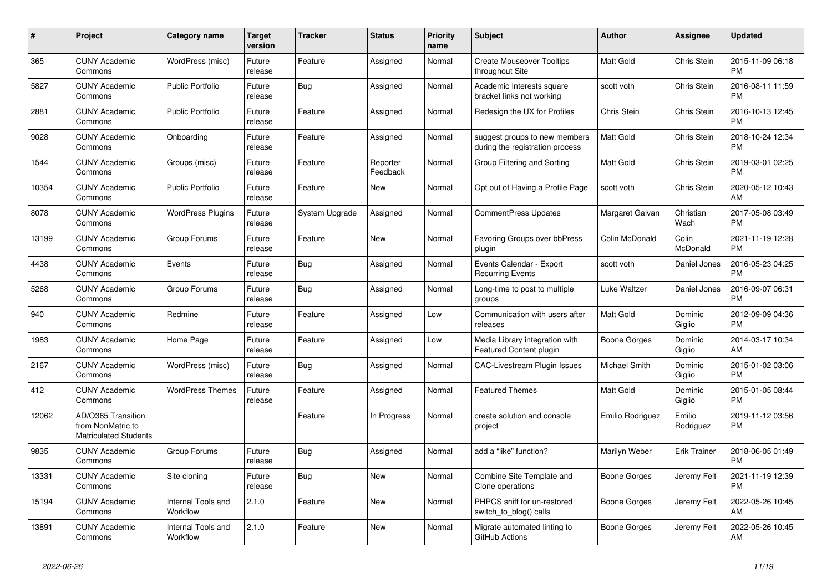| #     | Project                                                                 | Category name                  | <b>Target</b><br>version | <b>Tracker</b> | <b>Status</b>        | <b>Priority</b><br>name | <b>Subject</b>                                                   | <b>Author</b>        | <b>Assignee</b>     | <b>Updated</b>                |
|-------|-------------------------------------------------------------------------|--------------------------------|--------------------------|----------------|----------------------|-------------------------|------------------------------------------------------------------|----------------------|---------------------|-------------------------------|
| 365   | <b>CUNY Academic</b><br>Commons                                         | WordPress (misc)               | Future<br>release        | Feature        | Assigned             | Normal                  | <b>Create Mouseover Tooltips</b><br>throughout Site              | Matt Gold            | Chris Stein         | 2015-11-09 06:18<br><b>PM</b> |
| 5827  | <b>CUNY Academic</b><br>Commons                                         | <b>Public Portfolio</b>        | Future<br>release        | Bug            | Assigned             | Normal                  | Academic Interests square<br>bracket links not working           | scott voth           | Chris Stein         | 2016-08-11 11:59<br><b>PM</b> |
| 2881  | <b>CUNY Academic</b><br>Commons                                         | <b>Public Portfolio</b>        | Future<br>release        | Feature        | Assigned             | Normal                  | Redesign the UX for Profiles                                     | <b>Chris Stein</b>   | Chris Stein         | 2016-10-13 12:45<br><b>PM</b> |
| 9028  | <b>CUNY Academic</b><br>Commons                                         | Onboarding                     | Future<br>release        | Feature        | Assigned             | Normal                  | suggest groups to new members<br>during the registration process | <b>Matt Gold</b>     | Chris Stein         | 2018-10-24 12:34<br><b>PM</b> |
| 1544  | <b>CUNY Academic</b><br>Commons                                         | Groups (misc)                  | Future<br>release        | Feature        | Reporter<br>Feedback | Normal                  | Group Filtering and Sorting                                      | Matt Gold            | Chris Stein         | 2019-03-01 02:25<br><b>PM</b> |
| 10354 | <b>CUNY Academic</b><br>Commons                                         | <b>Public Portfolio</b>        | Future<br>release        | Feature        | New                  | Normal                  | Opt out of Having a Profile Page                                 | scott voth           | Chris Stein         | 2020-05-12 10:43<br>AM        |
| 8078  | <b>CUNY Academic</b><br>Commons                                         | <b>WordPress Plugins</b>       | Future<br>release        | System Upgrade | Assigned             | Normal                  | <b>CommentPress Updates</b>                                      | Margaret Galvan      | Christian<br>Wach   | 2017-05-08 03:49<br><b>PM</b> |
| 13199 | <b>CUNY Academic</b><br>Commons                                         | Group Forums                   | Future<br>release        | Feature        | <b>New</b>           | Normal                  | <b>Favoring Groups over bbPress</b><br>plugin                    | Colin McDonald       | Colin<br>McDonald   | 2021-11-19 12:28<br><b>PM</b> |
| 4438  | <b>CUNY Academic</b><br>Commons                                         | Events                         | Future<br>release        | <b>Bug</b>     | Assigned             | Normal                  | Events Calendar - Export<br><b>Recurring Events</b>              | scott voth           | Daniel Jones        | 2016-05-23 04:25<br><b>PM</b> |
| 5268  | <b>CUNY Academic</b><br>Commons                                         | Group Forums                   | Future<br>release        | Bug            | Assigned             | Normal                  | Long-time to post to multiple<br>groups                          | Luke Waltzer         | Daniel Jones        | 2016-09-07 06:31<br><b>PM</b> |
| 940   | <b>CUNY Academic</b><br>Commons                                         | Redmine                        | Future<br>release        | Feature        | Assigned             | Low                     | Communication with users after<br>releases                       | <b>Matt Gold</b>     | Dominic<br>Giglio   | 2012-09-09 04:36<br><b>PM</b> |
| 1983  | <b>CUNY Academic</b><br>Commons                                         | Home Page                      | Future<br>release        | Feature        | Assigned             | Low                     | Media Library integration with<br><b>Featured Content plugin</b> | Boone Gorges         | Dominic<br>Giglio   | 2014-03-17 10:34<br>AM        |
| 2167  | <b>CUNY Academic</b><br>Commons                                         | WordPress (misc)               | Future<br>release        | <b>Bug</b>     | Assigned             | Normal                  | <b>CAC-Livestream Plugin Issues</b>                              | <b>Michael Smith</b> | Dominic<br>Giglio   | 2015-01-02 03:06<br><b>PM</b> |
| 412   | <b>CUNY Academic</b><br>Commons                                         | <b>WordPress Themes</b>        | Future<br>release        | Feature        | Assigned             | Normal                  | <b>Featured Themes</b>                                           | <b>Matt Gold</b>     | Dominic<br>Giglio   | 2015-01-05 08:44<br><b>PM</b> |
| 12062 | AD/O365 Transition<br>from NonMatric to<br><b>Matriculated Students</b> |                                |                          | Feature        | In Progress          | Normal                  | create solution and console<br>project                           | Emilio Rodriguez     | Emilio<br>Rodriguez | 2019-11-12 03:56<br><b>PM</b> |
| 9835  | <b>CUNY Academic</b><br>Commons                                         | Group Forums                   | Future<br>release        | Bug            | Assigned             | Normal                  | add a "like" function?                                           | Marilyn Weber        | <b>Erik Trainer</b> | 2018-06-05 01:49<br><b>PM</b> |
| 13331 | <b>CUNY Academic</b><br>Commons                                         | Site cloning                   | Future<br>release        | Bug            | <b>New</b>           | Normal                  | Combine Site Template and<br>Clone operations                    | <b>Boone Gorges</b>  | Jeremy Felt         | 2021-11-19 12:39<br><b>PM</b> |
| 15194 | <b>CUNY Academic</b><br>Commons                                         | Internal Tools and<br>Workflow | 2.1.0                    | Feature        | <b>New</b>           | Normal                  | PHPCS sniff for un-restored<br>switch_to_blog() calls            | Boone Gorges         | Jeremy Felt         | 2022-05-26 10:45<br>AM        |
| 13891 | <b>CUNY Academic</b><br>Commons                                         | Internal Tools and<br>Workflow | 2.1.0                    | Feature        | <b>New</b>           | Normal                  | Migrate automated linting to<br>GitHub Actions                   | Boone Gorges         | Jeremy Felt         | 2022-05-26 10:45<br>AM        |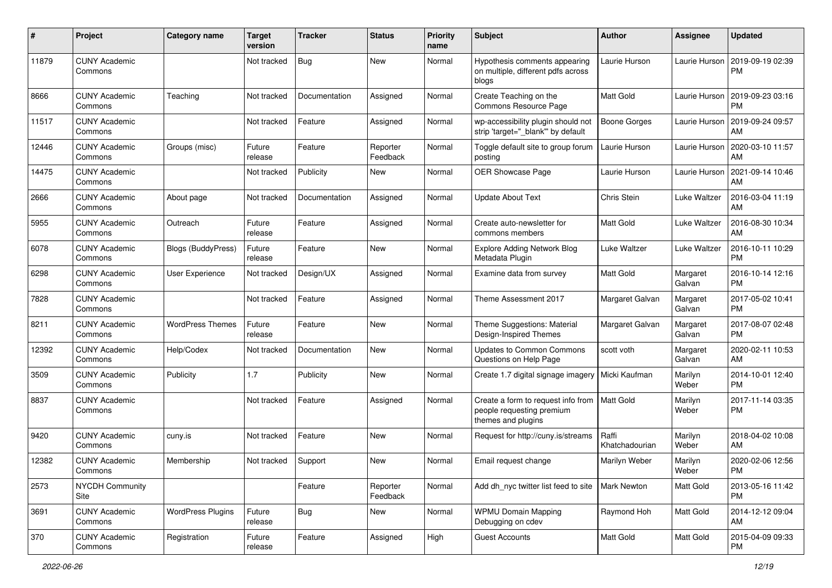| #     | Project                         | <b>Category name</b>      | <b>Target</b><br>version | <b>Tracker</b> | <b>Status</b>        | <b>Priority</b><br>name | Subject                                                                                           | Author                  | <b>Assignee</b>    | <b>Updated</b>                |
|-------|---------------------------------|---------------------------|--------------------------|----------------|----------------------|-------------------------|---------------------------------------------------------------------------------------------------|-------------------------|--------------------|-------------------------------|
| 11879 | <b>CUNY Academic</b><br>Commons |                           | Not tracked              | <b>Bug</b>     | New                  | Normal                  | Hypothesis comments appearing<br>on multiple, different pdfs across<br>blogs                      | Laurie Hurson           | Laurie Hurson      | 2019-09-19 02:39<br><b>PM</b> |
| 8666  | <b>CUNY Academic</b><br>Commons | Teaching                  | Not tracked              | Documentation  | Assigned             | Normal                  | Create Teaching on the<br>Commons Resource Page                                                   | <b>Matt Gold</b>        | Laurie Hurson      | 2019-09-23 03:16<br><b>PM</b> |
| 11517 | <b>CUNY Academic</b><br>Commons |                           | Not tracked              | Feature        | Assigned             | Normal                  | wp-accessibility plugin should not<br>strip 'target="_blank"' by default                          | <b>Boone Gorges</b>     | Laurie Hurson      | 2019-09-24 09:57<br>AM        |
| 12446 | <b>CUNY Academic</b><br>Commons | Groups (misc)             | Future<br>release        | Feature        | Reporter<br>Feedback | Normal                  | Toggle default site to group forum<br>posting                                                     | Laurie Hurson           | Laurie Hurson      | 2020-03-10 11:57<br>AM        |
| 14475 | <b>CUNY Academic</b><br>Commons |                           | Not tracked              | Publicity      | New                  | Normal                  | OER Showcase Page                                                                                 | Laurie Hurson           | Laurie Hurson      | 2021-09-14 10:46<br>AM        |
| 2666  | <b>CUNY Academic</b><br>Commons | About page                | Not tracked              | Documentation  | Assigned             | Normal                  | <b>Update About Text</b>                                                                          | Chris Stein             | Luke Waltzer       | 2016-03-04 11:19<br>AM        |
| 5955  | <b>CUNY Academic</b><br>Commons | Outreach                  | Future<br>release        | Feature        | Assigned             | Normal                  | Create auto-newsletter for<br>commons members                                                     | <b>Matt Gold</b>        | Luke Waltzer       | 2016-08-30 10:34<br>AM        |
| 6078  | <b>CUNY Academic</b><br>Commons | <b>Blogs (BuddyPress)</b> | Future<br>release        | Feature        | New                  | Normal                  | <b>Explore Adding Network Blog</b><br>Metadata Plugin                                             | Luke Waltzer            | Luke Waltzer       | 2016-10-11 10:29<br><b>PM</b> |
| 6298  | <b>CUNY Academic</b><br>Commons | User Experience           | Not tracked              | Design/UX      | Assigned             | Normal                  | Examine data from survey                                                                          | <b>Matt Gold</b>        | Margaret<br>Galvan | 2016-10-14 12:16<br><b>PM</b> |
| 7828  | <b>CUNY Academic</b><br>Commons |                           | Not tracked              | Feature        | Assigned             | Normal                  | Theme Assessment 2017                                                                             | Margaret Galvan         | Margaret<br>Galvan | 2017-05-02 10:41<br><b>PM</b> |
| 8211  | <b>CUNY Academic</b><br>Commons | <b>WordPress Themes</b>   | Future<br>release        | Feature        | New                  | Normal                  | Theme Suggestions: Material<br>Design-Inspired Themes                                             | Margaret Galvan         | Margaret<br>Galvan | 2017-08-07 02:48<br><b>PM</b> |
| 12392 | <b>CUNY Academic</b><br>Commons | Help/Codex                | Not tracked              | Documentation  | New                  | Normal                  | <b>Updates to Common Commons</b><br>Questions on Help Page                                        | scott voth              | Margaret<br>Galvan | 2020-02-11 10:53<br>AM        |
| 3509  | <b>CUNY Academic</b><br>Commons | Publicity                 | 1.7                      | Publicity      | New                  | Normal                  | Create 1.7 digital signage imagery                                                                | Micki Kaufman           | Marilyn<br>Weber   | 2014-10-01 12:40<br><b>PM</b> |
| 8837  | <b>CUNY Academic</b><br>Commons |                           | Not tracked              | Feature        | Assigned             | Normal                  | Create a form to request info from   Matt Gold<br>people requesting premium<br>themes and plugins |                         | Marilyn<br>Weber   | 2017-11-14 03:35<br><b>PM</b> |
| 9420  | <b>CUNY Academic</b><br>Commons | cuny.is                   | Not tracked              | Feature        | New                  | Normal                  | Request for http://cuny.is/streams                                                                | Raffi<br>Khatchadourian | Marilyn<br>Weber   | 2018-04-02 10:08<br>AM        |
| 12382 | <b>CUNY Academic</b><br>Commons | Membership                | Not tracked              | Support        | New                  | Normal                  | Email request change                                                                              | Marilyn Weber           | Marilyn<br>Weber   | 2020-02-06 12:56<br>PM        |
| 2573  | <b>NYCDH Community</b><br>Site  |                           |                          | Feature        | Reporter<br>Feedback | Normal                  | Add dh nyc twitter list feed to site   Mark Newton                                                |                         | Matt Gold          | 2013-05-16 11:42<br><b>PM</b> |
| 3691  | <b>CUNY Academic</b><br>Commons | <b>WordPress Plugins</b>  | Future<br>release        | <b>Bug</b>     | New                  | Normal                  | <b>WPMU Domain Mapping</b><br>Debugging on cdev                                                   | Raymond Hoh             | Matt Gold          | 2014-12-12 09:04<br>AM        |
| 370   | <b>CUNY Academic</b><br>Commons | Registration              | Future<br>release        | Feature        | Assigned             | High                    | <b>Guest Accounts</b>                                                                             | Matt Gold               | Matt Gold          | 2015-04-09 09:33<br><b>PM</b> |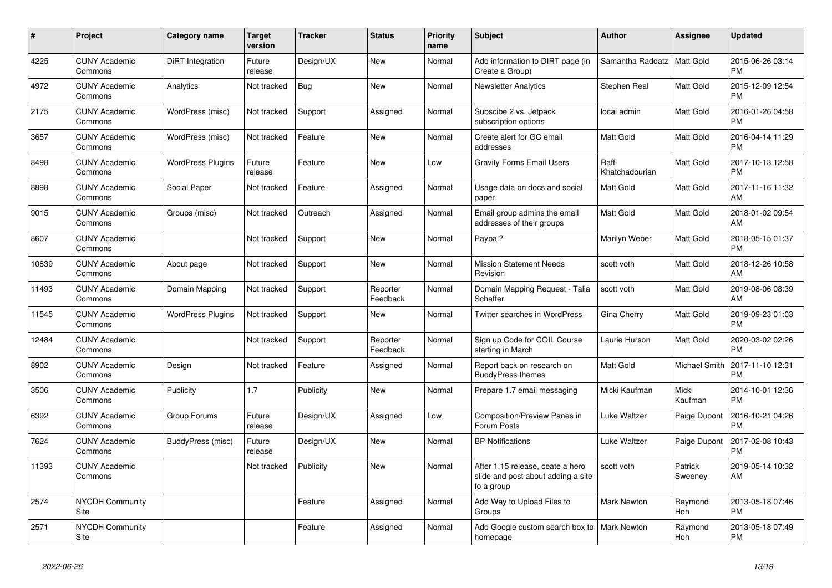| $\pmb{\#}$ | Project                         | Category name            | <b>Target</b><br>version | <b>Tracker</b> | <b>Status</b>        | <b>Priority</b><br>name | <b>Subject</b>                                                                       | <b>Author</b>           | <b>Assignee</b>       | <b>Updated</b>                |
|------------|---------------------------------|--------------------------|--------------------------|----------------|----------------------|-------------------------|--------------------------------------------------------------------------------------|-------------------------|-----------------------|-------------------------------|
| 4225       | <b>CUNY Academic</b><br>Commons | DiRT Integration         | Future<br>release        | Design/UX      | <b>New</b>           | Normal                  | Add information to DIRT page (in<br>Create a Group)                                  | Samantha Raddatz        | <b>Matt Gold</b>      | 2015-06-26 03:14<br><b>PM</b> |
| 4972       | <b>CUNY Academic</b><br>Commons | Analytics                | Not tracked              | Bug            | <b>New</b>           | Normal                  | <b>Newsletter Analytics</b>                                                          | Stephen Real            | Matt Gold             | 2015-12-09 12:54<br><b>PM</b> |
| 2175       | <b>CUNY Academic</b><br>Commons | WordPress (misc)         | Not tracked              | Support        | Assigned             | Normal                  | Subscibe 2 vs. Jetpack<br>subscription options                                       | local admin             | Matt Gold             | 2016-01-26 04:58<br><b>PM</b> |
| 3657       | <b>CUNY Academic</b><br>Commons | WordPress (misc)         | Not tracked              | Feature        | <b>New</b>           | Normal                  | Create alert for GC email<br>addresses                                               | <b>Matt Gold</b>        | Matt Gold             | 2016-04-14 11:29<br><b>PM</b> |
| 8498       | <b>CUNY Academic</b><br>Commons | <b>WordPress Plugins</b> | Future<br>release        | Feature        | <b>New</b>           | Low                     | <b>Gravity Forms Email Users</b>                                                     | Raffi<br>Khatchadourian | Matt Gold             | 2017-10-13 12:58<br><b>PM</b> |
| 8898       | <b>CUNY Academic</b><br>Commons | Social Paper             | Not tracked              | Feature        | Assigned             | Normal                  | Usage data on docs and social<br>paper                                               | Matt Gold               | Matt Gold             | 2017-11-16 11:32<br>AM        |
| 9015       | <b>CUNY Academic</b><br>Commons | Groups (misc)            | Not tracked              | Outreach       | Assigned             | Normal                  | Email group admins the email<br>addresses of their groups                            | <b>Matt Gold</b>        | <b>Matt Gold</b>      | 2018-01-02 09:54<br>AM        |
| 8607       | <b>CUNY Academic</b><br>Commons |                          | Not tracked              | Support        | <b>New</b>           | Normal                  | Paypal?                                                                              | Marilyn Weber           | Matt Gold             | 2018-05-15 01:37<br><b>PM</b> |
| 10839      | <b>CUNY Academic</b><br>Commons | About page               | Not tracked              | Support        | <b>New</b>           | Normal                  | <b>Mission Statement Needs</b><br>Revision                                           | scott voth              | Matt Gold             | 2018-12-26 10:58<br>AM        |
| 11493      | <b>CUNY Academic</b><br>Commons | Domain Mapping           | Not tracked              | Support        | Reporter<br>Feedback | Normal                  | Domain Mapping Request - Talia<br>Schaffer                                           | scott voth              | <b>Matt Gold</b>      | 2019-08-06 08:39<br>AM        |
| 11545      | <b>CUNY Academic</b><br>Commons | <b>WordPress Plugins</b> | Not tracked              | Support        | New                  | Normal                  | <b>Twitter searches in WordPress</b>                                                 | Gina Cherry             | <b>Matt Gold</b>      | 2019-09-23 01:03<br><b>PM</b> |
| 12484      | <b>CUNY Academic</b><br>Commons |                          | Not tracked              | Support        | Reporter<br>Feedback | Normal                  | Sign up Code for COIL Course<br>starting in March                                    | Laurie Hurson           | Matt Gold             | 2020-03-02 02:26<br><b>PM</b> |
| 8902       | <b>CUNY Academic</b><br>Commons | Design                   | Not tracked              | Feature        | Assigned             | Normal                  | Report back on research on<br><b>BuddyPress themes</b>                               | <b>Matt Gold</b>        | Michael Smith         | 2017-11-10 12:31<br><b>PM</b> |
| 3506       | <b>CUNY Academic</b><br>Commons | Publicity                | 1.7                      | Publicity      | <b>New</b>           | Normal                  | Prepare 1.7 email messaging                                                          | Micki Kaufman           | Micki<br>Kaufman      | 2014-10-01 12:36<br><b>PM</b> |
| 6392       | <b>CUNY Academic</b><br>Commons | Group Forums             | Future<br>release        | Design/UX      | Assigned             | Low                     | <b>Composition/Preview Panes in</b><br>Forum Posts                                   | Luke Waltzer            | Paige Dupont          | 2016-10-21 04:26<br><b>PM</b> |
| 7624       | <b>CUNY Academic</b><br>Commons | BuddyPress (misc)        | Future<br>release        | Design/UX      | <b>New</b>           | Normal                  | <b>BP</b> Notifications                                                              | Luke Waltzer            | Paige Dupont          | 2017-02-08 10:43<br><b>PM</b> |
| 11393      | <b>CUNY Academic</b><br>Commons |                          | Not tracked              | Publicity      | <b>New</b>           | Normal                  | After 1.15 release, ceate a hero<br>slide and post about adding a site<br>to a group | scott voth              | Patrick<br>Sweeney    | 2019-05-14 10:32<br>AM        |
| 2574       | <b>NYCDH Community</b><br>Site  |                          |                          | Feature        | Assigned             | Normal                  | Add Way to Upload Files to<br>Groups                                                 | <b>Mark Newton</b>      | Raymond<br><b>Hoh</b> | 2013-05-18 07:46<br><b>PM</b> |
| 2571       | <b>NYCDH Community</b><br>Site  |                          |                          | Feature        | Assigned             | Normal                  | Add Google custom search box to<br>homepage                                          | <b>Mark Newton</b>      | Raymond<br>Hoh        | 2013-05-18 07:49<br><b>PM</b> |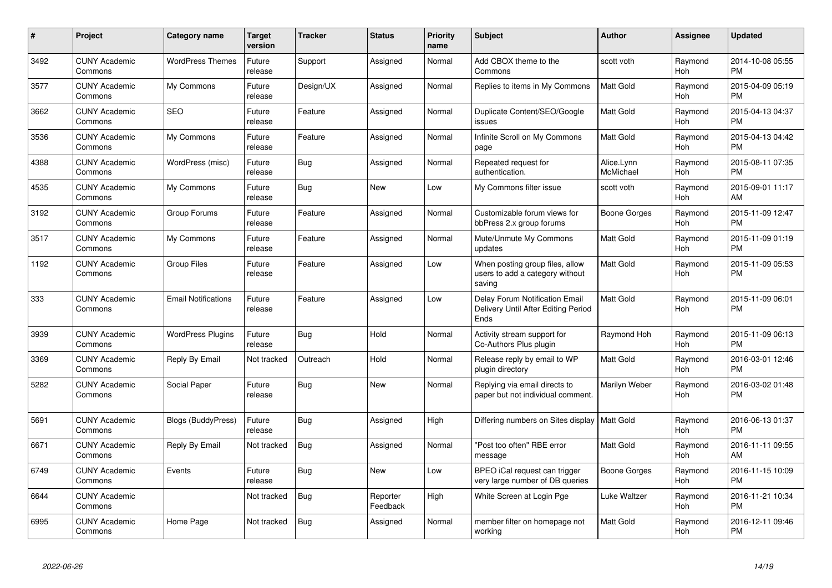| #    | Project                         | <b>Category name</b>       | <b>Target</b><br>version | <b>Tracker</b> | <b>Status</b>        | <b>Priority</b><br>name | <b>Subject</b>                                                                | <b>Author</b>           | Assignee              | <b>Updated</b>                |
|------|---------------------------------|----------------------------|--------------------------|----------------|----------------------|-------------------------|-------------------------------------------------------------------------------|-------------------------|-----------------------|-------------------------------|
| 3492 | <b>CUNY Academic</b><br>Commons | <b>WordPress Themes</b>    | Future<br>release        | Support        | Assigned             | Normal                  | Add CBOX theme to the<br>Commons                                              | scott voth              | Raymond<br><b>Hoh</b> | 2014-10-08 05:55<br><b>PM</b> |
| 3577 | <b>CUNY Academic</b><br>Commons | My Commons                 | Future<br>release        | Design/UX      | Assigned             | Normal                  | Replies to items in My Commons                                                | Matt Gold               | Raymond<br><b>Hoh</b> | 2015-04-09 05:19<br><b>PM</b> |
| 3662 | <b>CUNY Academic</b><br>Commons | <b>SEO</b>                 | Future<br>release        | Feature        | Assigned             | Normal                  | Duplicate Content/SEO/Google<br>issues                                        | Matt Gold               | Raymond<br>Hoh        | 2015-04-13 04:37<br><b>PM</b> |
| 3536 | <b>CUNY Academic</b><br>Commons | My Commons                 | Future<br>release        | Feature        | Assigned             | Normal                  | Infinite Scroll on My Commons<br>page                                         | Matt Gold               | Raymond<br>Hoh        | 2015-04-13 04:42<br><b>PM</b> |
| 4388 | <b>CUNY Academic</b><br>Commons | WordPress (misc)           | Future<br>release        | Bug            | Assigned             | Normal                  | Repeated request for<br>authentication.                                       | Alice.Lynn<br>McMichael | Raymond<br>Hoh        | 2015-08-11 07:35<br>PМ        |
| 4535 | <b>CUNY Academic</b><br>Commons | My Commons                 | Future<br>release        | Bug            | <b>New</b>           | Low                     | My Commons filter issue                                                       | scott voth              | Raymond<br>Hoh        | 2015-09-01 11:17<br>AM        |
| 3192 | <b>CUNY Academic</b><br>Commons | Group Forums               | Future<br>release        | Feature        | Assigned             | Normal                  | Customizable forum views for<br>bbPress 2.x group forums                      | Boone Gorges            | Raymond<br>Hoh        | 2015-11-09 12:47<br><b>PM</b> |
| 3517 | <b>CUNY Academic</b><br>Commons | My Commons                 | Future<br>release        | Feature        | Assigned             | Normal                  | Mute/Unmute My Commons<br>updates                                             | Matt Gold               | Raymond<br>Hoh        | 2015-11-09 01:19<br><b>PM</b> |
| 1192 | <b>CUNY Academic</b><br>Commons | <b>Group Files</b>         | Future<br>release        | Feature        | Assigned             | Low                     | When posting group files, allow<br>users to add a category without<br>saving  | Matt Gold               | Raymond<br>Hoh        | 2015-11-09 05:53<br><b>PM</b> |
| 333  | <b>CUNY Academic</b><br>Commons | <b>Email Notifications</b> | Future<br>release        | Feature        | Assigned             | Low                     | Delay Forum Notification Email<br>Delivery Until After Editing Period<br>Ends | Matt Gold               | Raymond<br><b>Hoh</b> | 2015-11-09 06:01<br><b>PM</b> |
| 3939 | <b>CUNY Academic</b><br>Commons | <b>WordPress Plugins</b>   | Future<br>release        | Bug            | Hold                 | Normal                  | Activity stream support for<br>Co-Authors Plus plugin                         | Raymond Hoh             | Raymond<br><b>Hoh</b> | 2015-11-09 06:13<br><b>PM</b> |
| 3369 | <b>CUNY Academic</b><br>Commons | Reply By Email             | Not tracked              | Outreach       | Hold                 | Normal                  | Release reply by email to WP<br>plugin directory                              | Matt Gold               | Raymond<br><b>Hoh</b> | 2016-03-01 12:46<br><b>PM</b> |
| 5282 | <b>CUNY Academic</b><br>Commons | Social Paper               | Future<br>release        | <b>Bug</b>     | <b>New</b>           | Normal                  | Replying via email directs to<br>paper but not individual comment.            | Marilyn Weber           | Raymond<br>Hoh        | 2016-03-02 01:48<br><b>PM</b> |
| 5691 | <b>CUNY Academic</b><br>Commons | <b>Blogs (BuddyPress)</b>  | Future<br>release        | Bug            | Assigned             | High                    | Differing numbers on Sites display                                            | Matt Gold               | Raymond<br>Hoh        | 2016-06-13 01:37<br><b>PM</b> |
| 6671 | <b>CUNY Academic</b><br>Commons | Reply By Email             | Not tracked              | Bug            | Assigned             | Normal                  | 'Post too often" RBE error<br>message                                         | <b>Matt Gold</b>        | Raymond<br>Hoh        | 2016-11-11 09:55<br>AM        |
| 6749 | <b>CUNY Academic</b><br>Commons | Events                     | Future<br>release        | Bug            | <b>New</b>           | Low                     | BPEO iCal request can trigger<br>very large number of DB queries              | <b>Boone Gorges</b>     | Raymond<br>Hoh        | 2016-11-15 10:09<br><b>PM</b> |
| 6644 | <b>CUNY Academic</b><br>Commons |                            | Not tracked              | <b>Bug</b>     | Reporter<br>Feedback | High                    | White Screen at Login Pge                                                     | Luke Waltzer            | Raymond<br><b>Hoh</b> | 2016-11-21 10:34<br><b>PM</b> |
| 6995 | <b>CUNY Academic</b><br>Commons | Home Page                  | Not tracked              | <b>Bug</b>     | Assigned             | Normal                  | member filter on homepage not<br>working                                      | Matt Gold               | Raymond<br>Hoh        | 2016-12-11 09:46<br><b>PM</b> |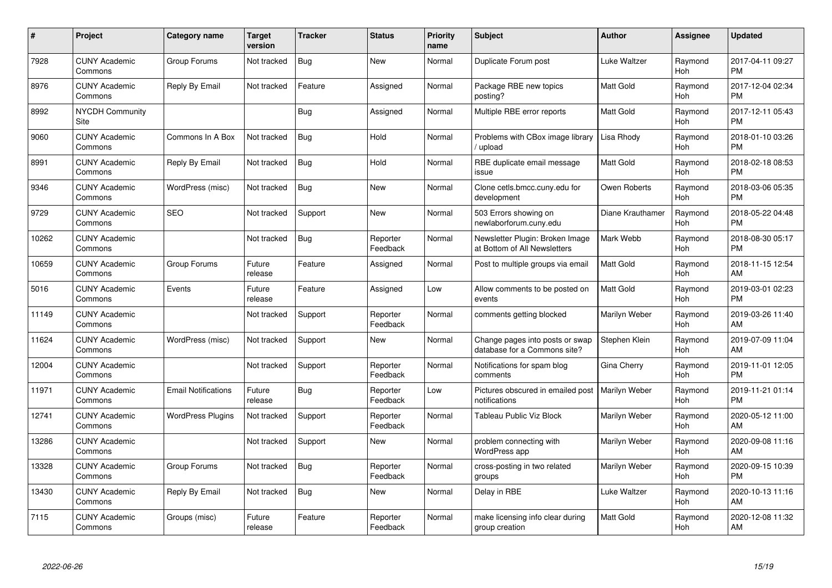| #     | Project                         | <b>Category name</b>       | <b>Target</b><br>version | <b>Tracker</b> | <b>Status</b>        | <b>Priority</b><br>name | <b>Subject</b>                                                  | <b>Author</b>    | <b>Assignee</b>       | Updated                       |
|-------|---------------------------------|----------------------------|--------------------------|----------------|----------------------|-------------------------|-----------------------------------------------------------------|------------------|-----------------------|-------------------------------|
| 7928  | <b>CUNY Academic</b><br>Commons | Group Forums               | Not tracked              | Bug            | <b>New</b>           | Normal                  | Duplicate Forum post                                            | Luke Waltzer     | Raymond<br>Hoh        | 2017-04-11 09:27<br><b>PM</b> |
| 8976  | <b>CUNY Academic</b><br>Commons | Reply By Email             | Not tracked              | Feature        | Assigned             | Normal                  | Package RBE new topics<br>posting?                              | Matt Gold        | Raymond<br><b>Hoh</b> | 2017-12-04 02:34<br><b>PM</b> |
| 8992  | <b>NYCDH Community</b><br>Site  |                            |                          | Bug            | Assigned             | Normal                  | Multiple RBE error reports                                      | Matt Gold        | Raymond<br>Hoh        | 2017-12-11 05:43<br>PM        |
| 9060  | <b>CUNY Academic</b><br>Commons | Commons In A Box           | Not tracked              | Bug            | Hold                 | Normal                  | Problems with CBox image library<br>upload                      | Lisa Rhody       | Raymond<br><b>Hoh</b> | 2018-01-10 03:26<br>PM        |
| 8991  | <b>CUNY Academic</b><br>Commons | Reply By Email             | Not tracked              | <b>Bug</b>     | Hold                 | Normal                  | RBE duplicate email message<br>issue                            | Matt Gold        | Raymond<br><b>Hoh</b> | 2018-02-18 08:53<br><b>PM</b> |
| 9346  | <b>CUNY Academic</b><br>Commons | WordPress (misc)           | Not tracked              | <b>Bug</b>     | <b>New</b>           | Normal                  | Clone cetls.bmcc.cuny.edu for<br>development                    | Owen Roberts     | Raymond<br>Hoh        | 2018-03-06 05:35<br>PM        |
| 9729  | <b>CUNY Academic</b><br>Commons | <b>SEO</b>                 | Not tracked              | Support        | New                  | Normal                  | 503 Errors showing on<br>newlaborforum.cuny.edu                 | Diane Krauthamer | Raymond<br><b>Hoh</b> | 2018-05-22 04:48<br>PM        |
| 10262 | <b>CUNY Academic</b><br>Commons |                            | Not tracked              | Bug            | Reporter<br>Feedback | Normal                  | Newsletter Plugin: Broken Image<br>at Bottom of All Newsletters | Mark Webb        | Raymond<br>Hoh        | 2018-08-30 05:17<br><b>PM</b> |
| 10659 | <b>CUNY Academic</b><br>Commons | Group Forums               | Future<br>release        | Feature        | Assigned             | Normal                  | Post to multiple groups via email                               | Matt Gold        | Raymond<br><b>Hoh</b> | 2018-11-15 12:54<br>AM        |
| 5016  | <b>CUNY Academic</b><br>Commons | Events                     | Future<br>release        | Feature        | Assigned             | Low                     | Allow comments to be posted on<br>events                        | Matt Gold        | Raymond<br>Hoh        | 2019-03-01 02:23<br><b>PM</b> |
| 11149 | <b>CUNY Academic</b><br>Commons |                            | Not tracked              | Support        | Reporter<br>Feedback | Normal                  | comments getting blocked                                        | Marilyn Weber    | Raymond<br>Hoh        | 2019-03-26 11:40<br>AМ        |
| 11624 | <b>CUNY Academic</b><br>Commons | WordPress (misc)           | Not tracked              | Support        | New                  | Normal                  | Change pages into posts or swap<br>database for a Commons site? | Stephen Klein    | Raymond<br><b>Hoh</b> | 2019-07-09 11:04<br>AM        |
| 12004 | <b>CUNY Academic</b><br>Commons |                            | Not tracked              | Support        | Reporter<br>Feedback | Normal                  | Notifications for spam blog<br>comments                         | Gina Cherry      | Raymond<br><b>Hoh</b> | 2019-11-01 12:05<br><b>PM</b> |
| 11971 | <b>CUNY Academic</b><br>Commons | <b>Email Notifications</b> | Future<br>release        | Bug            | Reporter<br>Feedback | Low                     | Pictures obscured in emailed post<br>notifications              | Marilyn Weber    | Raymond<br>Hoh        | 2019-11-21 01:14<br>PM        |
| 12741 | <b>CUNY Academic</b><br>Commons | <b>WordPress Plugins</b>   | Not tracked              | Support        | Reporter<br>Feedback | Normal                  | Tableau Public Viz Block                                        | Marilyn Weber    | Raymond<br>Hoh        | 2020-05-12 11:00<br>AM        |
| 13286 | <b>CUNY Academic</b><br>Commons |                            | Not tracked              | Support        | <b>New</b>           | Normal                  | problem connecting with<br>WordPress app                        | Marilyn Weber    | Raymond<br><b>Hoh</b> | 2020-09-08 11:16<br>AM        |
| 13328 | <b>CUNY Academic</b><br>Commons | Group Forums               | Not tracked              | Bug            | Reporter<br>Feedback | Normal                  | cross-posting in two related<br>groups                          | Marilyn Weber    | Raymond<br>Hoh        | 2020-09-15 10:39<br><b>PM</b> |
| 13430 | <b>CUNY Academic</b><br>Commons | Reply By Email             | Not tracked              | Bug            | New                  | Normal                  | Delay in RBE                                                    | Luke Waltzer     | Raymond<br><b>Hoh</b> | 2020-10-13 11:16<br>AM        |
| 7115  | <b>CUNY Academic</b><br>Commons | Groups (misc)              | Future<br>release        | Feature        | Reporter<br>Feedback | Normal                  | make licensing info clear during<br>group creation              | Matt Gold        | Raymond<br>Hoh        | 2020-12-08 11:32<br>AM        |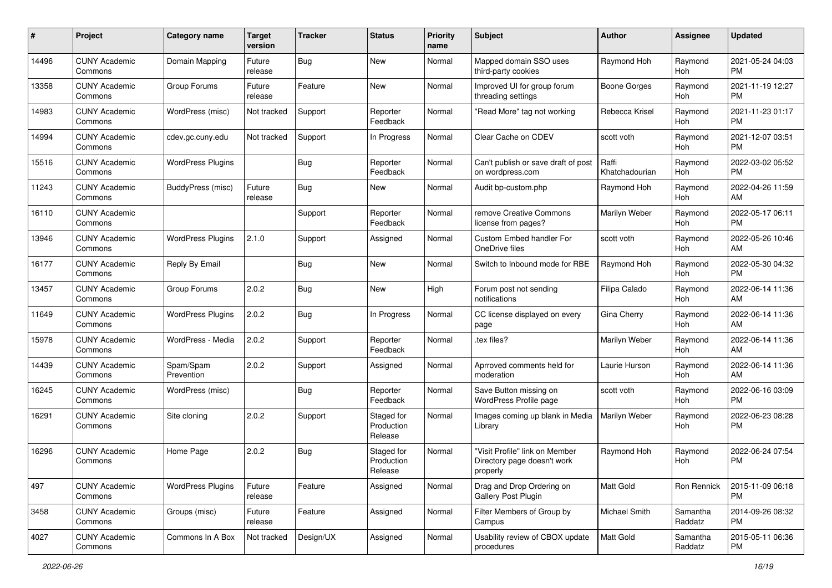| #     | Project                         | <b>Category name</b>     | <b>Target</b><br>version | <b>Tracker</b> | <b>Status</b>                       | <b>Priority</b><br>name | Subject                                                                   | Author                  | <b>Assignee</b>       | <b>Updated</b>                |
|-------|---------------------------------|--------------------------|--------------------------|----------------|-------------------------------------|-------------------------|---------------------------------------------------------------------------|-------------------------|-----------------------|-------------------------------|
| 14496 | <b>CUNY Academic</b><br>Commons | Domain Mapping           | Future<br>release        | <b>Bug</b>     | New                                 | Normal                  | Mapped domain SSO uses<br>third-party cookies                             | Raymond Hoh             | Raymond<br><b>Hoh</b> | 2021-05-24 04:03<br>PM        |
| 13358 | <b>CUNY Academic</b><br>Commons | Group Forums             | Future<br>release        | Feature        | New                                 | Normal                  | Improved UI for group forum<br>threading settings                         | <b>Boone Gorges</b>     | Raymond<br>Hoh        | 2021-11-19 12:27<br><b>PM</b> |
| 14983 | <b>CUNY Academic</b><br>Commons | WordPress (misc)         | Not tracked              | Support        | Reporter<br>Feedback                | Normal                  | "Read More" tag not working                                               | Rebecca Krisel          | Raymond<br>Hoh        | 2021-11-23 01:17<br><b>PM</b> |
| 14994 | <b>CUNY Academic</b><br>Commons | cdev.gc.cuny.edu         | Not tracked              | Support        | In Progress                         | Normal                  | Clear Cache on CDEV                                                       | scott voth              | Raymond<br>Hoh        | 2021-12-07 03:51<br><b>PM</b> |
| 15516 | <b>CUNY Academic</b><br>Commons | <b>WordPress Plugins</b> |                          | Bug            | Reporter<br>Feedback                | Normal                  | Can't publish or save draft of post<br>on wordpress.com                   | Raffi<br>Khatchadourian | Raymond<br>Hoh        | 2022-03-02 05:52<br><b>PM</b> |
| 11243 | <b>CUNY Academic</b><br>Commons | BuddyPress (misc)        | Future<br>release        | Bug            | New                                 | Normal                  | Audit bp-custom.php                                                       | Raymond Hoh             | Raymond<br>Hoh        | 2022-04-26 11:59<br>AM        |
| 16110 | <b>CUNY Academic</b><br>Commons |                          |                          | Support        | Reporter<br>Feedback                | Normal                  | remove Creative Commons<br>license from pages?                            | Marilyn Weber           | Raymond<br>Hoh        | 2022-05-17 06:11<br><b>PM</b> |
| 13946 | <b>CUNY Academic</b><br>Commons | <b>WordPress Plugins</b> | 2.1.0                    | Support        | Assigned                            | Normal                  | Custom Embed handler For<br>OneDrive files                                | scott voth              | Raymond<br>Hoh        | 2022-05-26 10:46<br>AM        |
| 16177 | <b>CUNY Academic</b><br>Commons | Reply By Email           |                          | <b>Bug</b>     | New                                 | Normal                  | Switch to Inbound mode for RBE                                            | Raymond Hoh             | Raymond<br>Hoh        | 2022-05-30 04:32<br><b>PM</b> |
| 13457 | <b>CUNY Academic</b><br>Commons | Group Forums             | 2.0.2                    | Bug            | New                                 | High                    | Forum post not sending<br>notifications                                   | Filipa Calado           | Raymond<br>Hoh        | 2022-06-14 11:36<br>AM        |
| 11649 | <b>CUNY Academic</b><br>Commons | <b>WordPress Plugins</b> | 2.0.2                    | Bug            | In Progress                         | Normal                  | CC license displayed on every<br>page                                     | Gina Cherry             | Raymond<br>Hoh        | 2022-06-14 11:36<br>AM        |
| 15978 | <b>CUNY Academic</b><br>Commons | WordPress - Media        | 2.0.2                    | Support        | Reporter<br>Feedback                | Normal                  | .tex files?                                                               | Marilyn Weber           | Raymond<br><b>Hoh</b> | 2022-06-14 11:36<br>AM        |
| 14439 | <b>CUNY Academic</b><br>Commons | Spam/Spam<br>Prevention  | 2.0.2                    | Support        | Assigned                            | Normal                  | Aprroved comments held for<br>moderation                                  | Laurie Hurson           | Raymond<br>Hoh        | 2022-06-14 11:36<br>AM        |
| 16245 | <b>CUNY Academic</b><br>Commons | WordPress (misc)         |                          | Bug            | Reporter<br>Feedback                | Normal                  | Save Button missing on<br>WordPress Profile page                          | scott voth              | Raymond<br>Hoh        | 2022-06-16 03:09<br><b>PM</b> |
| 16291 | <b>CUNY Academic</b><br>Commons | Site cloning             | 2.0.2                    | Support        | Staged for<br>Production<br>Release | Normal                  | Images coming up blank in Media<br>Library                                | Marilyn Weber           | Raymond<br>Hoh        | 2022-06-23 08:28<br>PM        |
| 16296 | <b>CUNY Academic</b><br>Commons | Home Page                | 2.0.2                    | Bug            | Staged for<br>Production<br>Release | Normal                  | "Visit Profile" link on Member<br>Directory page doesn't work<br>properly | Raymond Hoh             | Raymond<br>Hoh        | 2022-06-24 07:54<br>PM        |
| 497   | <b>CUNY Academic</b><br>Commons | <b>WordPress Plugins</b> | Future<br>release        | Feature        | Assigned                            | Normal                  | Drag and Drop Ordering on<br>Gallery Post Plugin                          | Matt Gold               | Ron Rennick           | 2015-11-09 06:18<br><b>PM</b> |
| 3458  | <b>CUNY Academic</b><br>Commons | Groups (misc)            | Future<br>release        | Feature        | Assigned                            | Normal                  | Filter Members of Group by<br>Campus                                      | Michael Smith           | Samantha<br>Raddatz   | 2014-09-26 08:32<br><b>PM</b> |
| 4027  | <b>CUNY Academic</b><br>Commons | Commons In A Box         | Not tracked              | Design/UX      | Assigned                            | Normal                  | Usability review of CBOX update<br>procedures                             | Matt Gold               | Samantha<br>Raddatz   | 2015-05-11 06:36<br><b>PM</b> |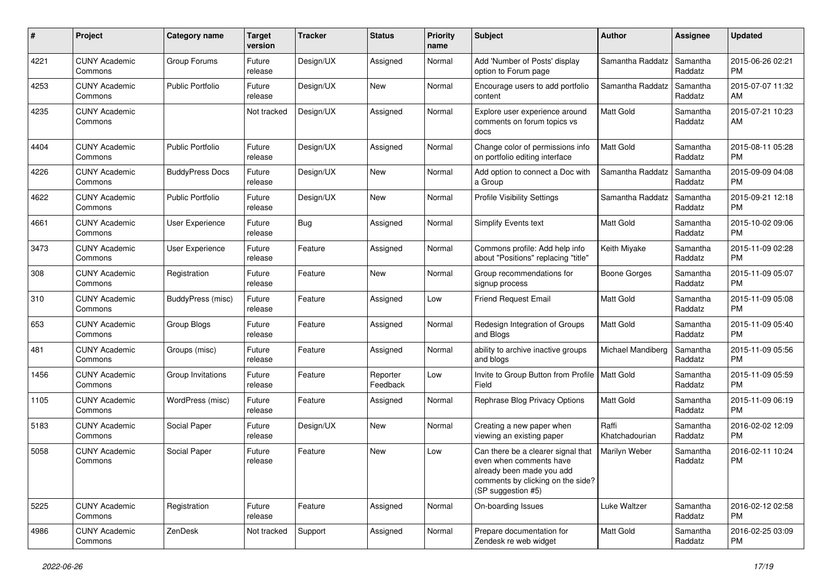| #    | Project                         | <b>Category name</b>    | <b>Target</b><br>version | <b>Tracker</b> | <b>Status</b>        | <b>Priority</b><br>name | Subject                                                                                                                                               | Author                  | Assignee            | <b>Updated</b>                |
|------|---------------------------------|-------------------------|--------------------------|----------------|----------------------|-------------------------|-------------------------------------------------------------------------------------------------------------------------------------------------------|-------------------------|---------------------|-------------------------------|
| 4221 | <b>CUNY Academic</b><br>Commons | Group Forums            | Future<br>release        | Design/UX      | Assigned             | Normal                  | Add 'Number of Posts' display<br>option to Forum page                                                                                                 | Samantha Raddatz        | Samantha<br>Raddatz | 2015-06-26 02:21<br><b>PM</b> |
| 4253 | <b>CUNY Academic</b><br>Commons | <b>Public Portfolio</b> | Future<br>release        | Design/UX      | <b>New</b>           | Normal                  | Encourage users to add portfolio<br>content                                                                                                           | Samantha Raddatz        | Samantha<br>Raddatz | 2015-07-07 11:32<br>AM        |
| 4235 | <b>CUNY Academic</b><br>Commons |                         | Not tracked              | Design/UX      | Assigned             | Normal                  | Explore user experience around<br>comments on forum topics vs<br>docs                                                                                 | Matt Gold               | Samantha<br>Raddatz | 2015-07-21 10:23<br>AM        |
| 4404 | <b>CUNY Academic</b><br>Commons | <b>Public Portfolio</b> | Future<br>release        | Design/UX      | Assigned             | Normal                  | Change color of permissions info<br>on portfolio editing interface                                                                                    | Matt Gold               | Samantha<br>Raddatz | 2015-08-11 05:28<br><b>PM</b> |
| 4226 | <b>CUNY Academic</b><br>Commons | <b>BuddyPress Docs</b>  | Future<br>release        | Design/UX      | <b>New</b>           | Normal                  | Add option to connect a Doc with<br>a Group                                                                                                           | Samantha Raddatz        | Samantha<br>Raddatz | 2015-09-09 04:08<br><b>PM</b> |
| 4622 | <b>CUNY Academic</b><br>Commons | <b>Public Portfolio</b> | Future<br>release        | Design/UX      | <b>New</b>           | Normal                  | <b>Profile Visibility Settings</b>                                                                                                                    | Samantha Raddatz        | Samantha<br>Raddatz | 2015-09-21 12:18<br><b>PM</b> |
| 4661 | <b>CUNY Academic</b><br>Commons | User Experience         | Future<br>release        | <b>Bug</b>     | Assigned             | Normal                  | Simplify Events text                                                                                                                                  | <b>Matt Gold</b>        | Samantha<br>Raddatz | 2015-10-02 09:06<br><b>PM</b> |
| 3473 | <b>CUNY Academic</b><br>Commons | User Experience         | Future<br>release        | Feature        | Assigned             | Normal                  | Commons profile: Add help info<br>about "Positions" replacing "title"                                                                                 | Keith Miyake            | Samantha<br>Raddatz | 2015-11-09 02:28<br><b>PM</b> |
| 308  | <b>CUNY Academic</b><br>Commons | Registration            | Future<br>release        | Feature        | <b>New</b>           | Normal                  | Group recommendations for<br>signup process                                                                                                           | <b>Boone Gorges</b>     | Samantha<br>Raddatz | 2015-11-09 05:07<br><b>PM</b> |
| 310  | <b>CUNY Academic</b><br>Commons | BuddyPress (misc)       | Future<br>release        | Feature        | Assigned             | Low                     | <b>Friend Request Email</b>                                                                                                                           | Matt Gold               | Samantha<br>Raddatz | 2015-11-09 05:08<br><b>PM</b> |
| 653  | <b>CUNY Academic</b><br>Commons | Group Blogs             | Future<br>release        | Feature        | Assigned             | Normal                  | Redesign Integration of Groups<br>and Blogs                                                                                                           | <b>Matt Gold</b>        | Samantha<br>Raddatz | 2015-11-09 05:40<br><b>PM</b> |
| 481  | <b>CUNY Academic</b><br>Commons | Groups (misc)           | Future<br>release        | Feature        | Assigned             | Normal                  | ability to archive inactive groups<br>and blogs                                                                                                       | Michael Mandiberg       | Samantha<br>Raddatz | 2015-11-09 05:56<br><b>PM</b> |
| 1456 | <b>CUNY Academic</b><br>Commons | Group Invitations       | Future<br>release        | Feature        | Reporter<br>Feedback | Low                     | Invite to Group Button from Profile<br>Field                                                                                                          | <b>Matt Gold</b>        | Samantha<br>Raddatz | 2015-11-09 05:59<br><b>PM</b> |
| 1105 | <b>CUNY Academic</b><br>Commons | WordPress (misc)        | Future<br>release        | Feature        | Assigned             | Normal                  | Rephrase Blog Privacy Options                                                                                                                         | <b>Matt Gold</b>        | Samantha<br>Raddatz | 2015-11-09 06:19<br><b>PM</b> |
| 5183 | <b>CUNY Academic</b><br>Commons | Social Paper            | Future<br>release        | Design/UX      | New                  | Normal                  | Creating a new paper when<br>viewing an existing paper                                                                                                | Raffi<br>Khatchadourian | Samantha<br>Raddatz | 2016-02-02 12:09<br><b>PM</b> |
| 5058 | <b>CUNY Academic</b><br>Commons | Social Paper            | Future<br>release        | Feature        | <b>New</b>           | Low                     | Can there be a clearer signal that<br>even when comments have<br>already been made you add<br>comments by clicking on the side?<br>(SP suggestion #5) | Marilyn Weber           | Samantha<br>Raddatz | 2016-02-11 10:24<br><b>PM</b> |
| 5225 | <b>CUNY Academic</b><br>Commons | Registration            | Future<br>release        | Feature        | Assigned             | Normal                  | On-boarding Issues                                                                                                                                    | Luke Waltzer            | Samantha<br>Raddatz | 2016-02-12 02:58<br><b>PM</b> |
| 4986 | <b>CUNY Academic</b><br>Commons | ZenDesk                 | Not tracked              | Support        | Assigned             | Normal                  | Prepare documentation for<br>Zendesk re web widget                                                                                                    | Matt Gold               | Samantha<br>Raddatz | 2016-02-25 03:09<br>PM        |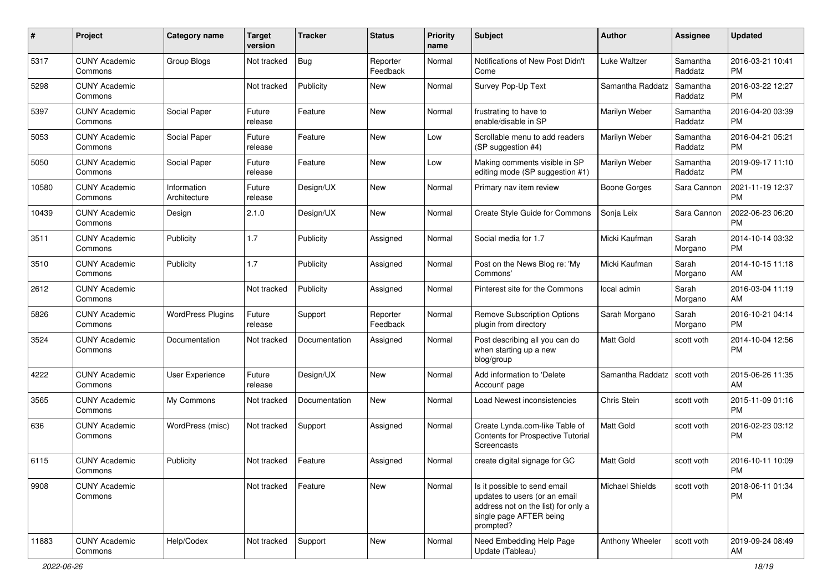| #     | Project                         | <b>Category name</b>        | <b>Target</b><br>version | <b>Tracker</b> | <b>Status</b>        | <b>Priority</b><br>name | Subject                                                                                                                                      | Author                 | <b>Assignee</b>     | <b>Updated</b>                |
|-------|---------------------------------|-----------------------------|--------------------------|----------------|----------------------|-------------------------|----------------------------------------------------------------------------------------------------------------------------------------------|------------------------|---------------------|-------------------------------|
| 5317  | <b>CUNY Academic</b><br>Commons | Group Blogs                 | Not tracked              | <b>Bug</b>     | Reporter<br>Feedback | Normal                  | Notifications of New Post Didn't<br>Come                                                                                                     | <b>Luke Waltzer</b>    | Samantha<br>Raddatz | 2016-03-21 10:41<br><b>PM</b> |
| 5298  | <b>CUNY Academic</b><br>Commons |                             | Not tracked              | Publicity      | New                  | Normal                  | Survey Pop-Up Text                                                                                                                           | Samantha Raddatz       | Samantha<br>Raddatz | 2016-03-22 12:27<br><b>PM</b> |
| 5397  | <b>CUNY Academic</b><br>Commons | Social Paper                | Future<br>release        | Feature        | New                  | Normal                  | frustrating to have to<br>enable/disable in SP                                                                                               | Marilyn Weber          | Samantha<br>Raddatz | 2016-04-20 03:39<br><b>PM</b> |
| 5053  | <b>CUNY Academic</b><br>Commons | Social Paper                | Future<br>release        | Feature        | <b>New</b>           | Low                     | Scrollable menu to add readers<br>(SP suggestion #4)                                                                                         | Marilyn Weber          | Samantha<br>Raddatz | 2016-04-21 05:21<br><b>PM</b> |
| 5050  | <b>CUNY Academic</b><br>Commons | Social Paper                | Future<br>release        | Feature        | New                  | Low                     | Making comments visible in SP<br>editing mode (SP suggestion #1)                                                                             | Marilyn Weber          | Samantha<br>Raddatz | 2019-09-17 11:10<br><b>PM</b> |
| 10580 | <b>CUNY Academic</b><br>Commons | Information<br>Architecture | Future<br>release        | Design/UX      | New                  | Normal                  | Primary nav item review                                                                                                                      | <b>Boone Gorges</b>    | Sara Cannon         | 2021-11-19 12:37<br><b>PM</b> |
| 10439 | <b>CUNY Academic</b><br>Commons | Design                      | 2.1.0                    | Design/UX      | New                  | Normal                  | Create Style Guide for Commons                                                                                                               | Sonja Leix             | Sara Cannon         | 2022-06-23 06:20<br><b>PM</b> |
| 3511  | <b>CUNY Academic</b><br>Commons | Publicity                   | 1.7                      | Publicity      | Assigned             | Normal                  | Social media for 1.7                                                                                                                         | Micki Kaufman          | Sarah<br>Morgano    | 2014-10-14 03:32<br><b>PM</b> |
| 3510  | <b>CUNY Academic</b><br>Commons | Publicity                   | 1.7                      | Publicity      | Assigned             | Normal                  | Post on the News Blog re: 'My<br>Commons'                                                                                                    | Micki Kaufman          | Sarah<br>Morgano    | 2014-10-15 11:18<br>AM        |
| 2612  | <b>CUNY Academic</b><br>Commons |                             | Not tracked              | Publicity      | Assigned             | Normal                  | Pinterest site for the Commons                                                                                                               | local admin            | Sarah<br>Morgano    | 2016-03-04 11:19<br>AM        |
| 5826  | <b>CUNY Academic</b><br>Commons | <b>WordPress Plugins</b>    | Future<br>release        | Support        | Reporter<br>Feedback | Normal                  | <b>Remove Subscription Options</b><br>plugin from directory                                                                                  | Sarah Morgano          | Sarah<br>Morgano    | 2016-10-21 04:14<br><b>PM</b> |
| 3524  | <b>CUNY Academic</b><br>Commons | Documentation               | Not tracked              | Documentation  | Assigned             | Normal                  | Post describing all you can do<br>when starting up a new<br>blog/group                                                                       | <b>Matt Gold</b>       | scott voth          | 2014-10-04 12:56<br><b>PM</b> |
| 4222  | <b>CUNY Academic</b><br>Commons | User Experience             | Future<br>release        | Design/UX      | New                  | Normal                  | Add information to 'Delete<br>Account' page                                                                                                  | Samantha Raddatz       | scott voth          | 2015-06-26 11:35<br>AM        |
| 3565  | <b>CUNY Academic</b><br>Commons | My Commons                  | Not tracked              | Documentation  | New                  | Normal                  | Load Newest inconsistencies                                                                                                                  | Chris Stein            | scott voth          | 2015-11-09 01:16<br><b>PM</b> |
| 636   | <b>CUNY Academic</b><br>Commons | WordPress (misc)            | Not tracked              | Support        | Assigned             | Normal                  | Create Lynda.com-like Table of<br>Contents for Prospective Tutorial<br>Screencasts                                                           | <b>Matt Gold</b>       | scott voth          | 2016-02-23 03:12<br><b>PM</b> |
| 6115  | <b>CUNY Academic</b><br>Commons | Publicity                   | Not tracked              | Feature        | Assigned             | Normal                  | create digital signage for GC                                                                                                                | <b>Matt Gold</b>       | scott voth          | 2016-10-11 10:09<br>PM        |
| 9908  | <b>CUNY Academic</b><br>Commons |                             | Not tracked              | Feature        | New                  | Normal                  | Is it possible to send email<br>updates to users (or an email<br>address not on the list) for only a<br>single page AFTER being<br>prompted? | <b>Michael Shields</b> | scott voth          | 2018-06-11 01:34<br><b>PM</b> |
| 11883 | <b>CUNY Academic</b><br>Commons | Help/Codex                  | Not tracked              | Support        | New                  | Normal                  | Need Embedding Help Page<br>Update (Tableau)                                                                                                 | Anthony Wheeler        | scott voth          | 2019-09-24 08:49<br>AM        |